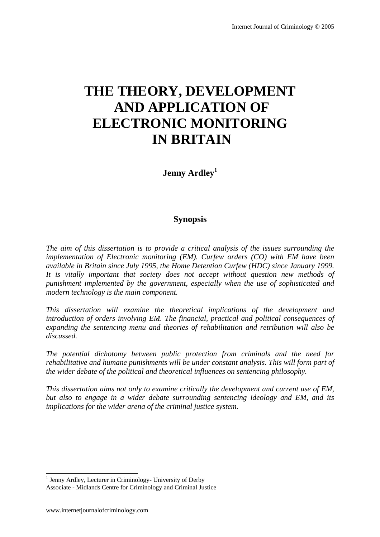# **THE THEORY, DEVELOPMENT AND APPLICATION OF ELECTRONIC MONITORING IN BRITAIN**

**Jenny Ardley<sup>1</sup>**

# **Synopsis**

*The aim of this dissertation is to provide a critical analysis of the issues surrounding the implementation of Electronic monitoring (EM). Curfew orders (CO) with EM have been available in Britain since July 1995, the Home Detention Curfew (HDC) since January 1999. It is vitally important that society does not accept without question new methods of punishment implemented by the government, especially when the use of sophisticated and modern technology is the main component.* 

*This dissertation will examine the theoretical implications of the development and introduction of orders involving EM. The financial, practical and political consequences of expanding the sentencing menu and theories of rehabilitation and retribution will also be discussed.* 

*The potential dichotomy between public protection from criminals and the need for rehabilitative and humane punishments will be under constant analysis. This will form part of the wider debate of the political and theoretical influences on sentencing philosophy.* 

*This dissertation aims not only to examine critically the development and current use of EM, but also to engage in a wider debate surrounding sentencing ideology and EM, and its implications for the wider arena of the criminal justice system.*

 1 Jenny Ardley, Lecturer in Criminology- University of Derby

Associate - Midlands Centre for Criminology and Criminal Justice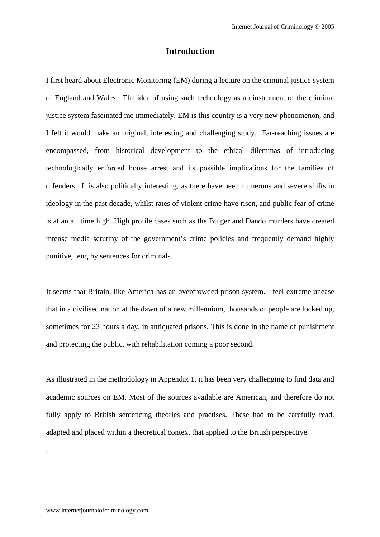# **Introduction**

I first heard about Electronic Monitoring (EM) during a lecture on the criminal justice system of England and Wales. The idea of using such technology as an instrument of the criminal justice system fascinated me immediately. EM is this country is a very new phenomenon, and I felt it would make an original, interesting and challenging study. Far-reaching issues are encompassed, from historical development to the ethical dilemmas of introducing technologically enforced house arrest and its possible implications for the families of offenders. It is also politically interesting, as there have been numerous and severe shifts in ideology in the past decade, whilst rates of violent crime have risen, and public fear of crime is at an all time high. High profile cases such as the Bulger and Dando murders have created intense media scrutiny of the government's crime policies and frequently demand highly punitive, lengthy sentences for criminals.

It seems that Britain, like America has an overcrowded prison system. I feel extreme unease that in a civilised nation at the dawn of a new millennium, thousands of people are locked up, sometimes for 23 hours a day, in antiquated prisons. This is done in the name of punishment and protecting the public, with rehabilitation coming a poor second.

As illustrated in the methodology in Appendix 1, it has been very challenging to find data and academic sources on EM. Most of the sources available are American, and therefore do not fully apply to British sentencing theories and practises. These had to be carefully read, adapted and placed within a theoretical context that applied to the British perspective.

.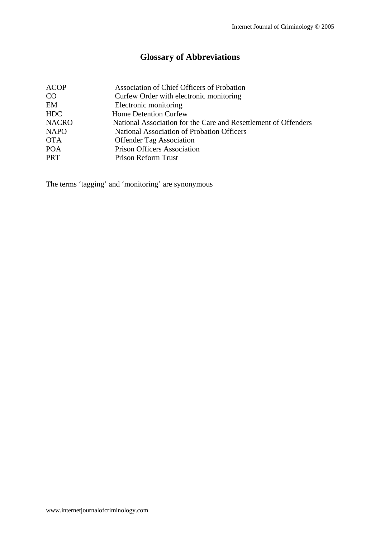# **Glossary of Abbreviations**

| Association of Chief Officers of Probation                      |
|-----------------------------------------------------------------|
| Curfew Order with electronic monitoring                         |
| Electronic monitoring                                           |
| Home Detention Curfew                                           |
| National Association for the Care and Resettlement of Offenders |
| National Association of Probation Officers                      |
| <b>Offender Tag Association</b>                                 |
| <b>Prison Officers Association</b>                              |
| <b>Prison Reform Trust</b>                                      |
|                                                                 |

The terms 'tagging' and 'monitoring' are synonymous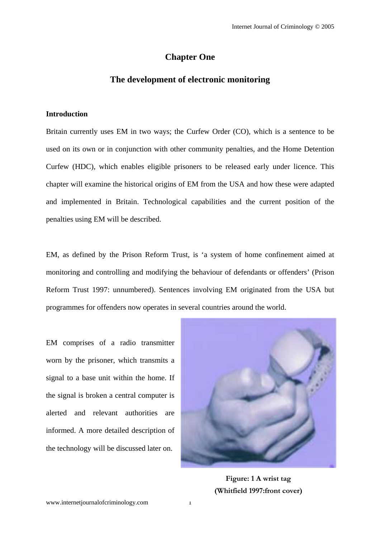# **Chapter One**

# **The development of electronic monitoring**

#### **Introduction**

Britain currently uses EM in two ways; the Curfew Order (CO), which is a sentence to be used on its own or in conjunction with other community penalties, and the Home Detention Curfew (HDC), which enables eligible prisoners to be released early under licence. This chapter will examine the historical origins of EM from the USA and how these were adapted and implemented in Britain. Technological capabilities and the current position of the penalties using EM will be described.

EM, as defined by the Prison Reform Trust, is 'a system of home confinement aimed at monitoring and controlling and modifying the behaviour of defendants or offenders' (Prison Reform Trust 1997: unnumbered). Sentences involving EM originated from the USA but programmes for offenders now operates in several countries around the world.

EM comprises of a radio transmitter worn by the prisoner, which transmits a signal to a base unit within the home. If the signal is broken a central computer is alerted and relevant authorities are informed. A more detailed description of the technology will be discussed later on.



**Figure: 1 A wrist tag (Whitfield 1997:front cover)**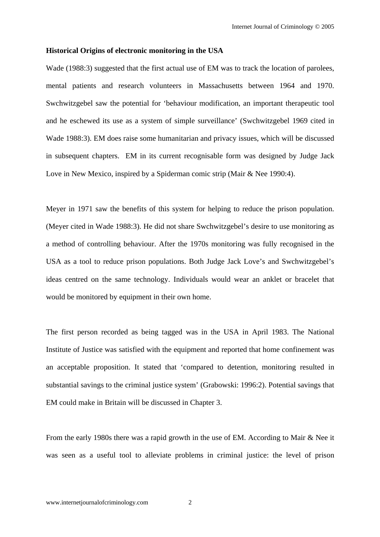#### **Historical Origins of electronic monitoring in the USA**

Wade (1988:3) suggested that the first actual use of EM was to track the location of parolees, mental patients and research volunteers in Massachusetts between 1964 and 1970. Swchwitzgebel saw the potential for 'behaviour modification, an important therapeutic tool and he eschewed its use as a system of simple surveillance' (Swchwitzgebel 1969 cited in Wade 1988:3). EM does raise some humanitarian and privacy issues, which will be discussed in subsequent chapters. EM in its current recognisable form was designed by Judge Jack Love in New Mexico, inspired by a Spiderman comic strip (Mair & Nee 1990:4).

Meyer in 1971 saw the benefits of this system for helping to reduce the prison population. (Meyer cited in Wade 1988:3). He did not share Swchwitzgebel's desire to use monitoring as a method of controlling behaviour. After the 1970s monitoring was fully recognised in the USA as a tool to reduce prison populations. Both Judge Jack Love's and Swchwitzgebel's ideas centred on the same technology. Individuals would wear an anklet or bracelet that would be monitored by equipment in their own home.

The first person recorded as being tagged was in the USA in April 1983. The National Institute of Justice was satisfied with the equipment and reported that home confinement was an acceptable proposition. It stated that 'compared to detention, monitoring resulted in substantial savings to the criminal justice system' (Grabowski: 1996:2). Potential savings that EM could make in Britain will be discussed in Chapter 3.

From the early 1980s there was a rapid growth in the use of EM. According to Mair & Nee it was seen as a useful tool to alleviate problems in criminal justice: the level of prison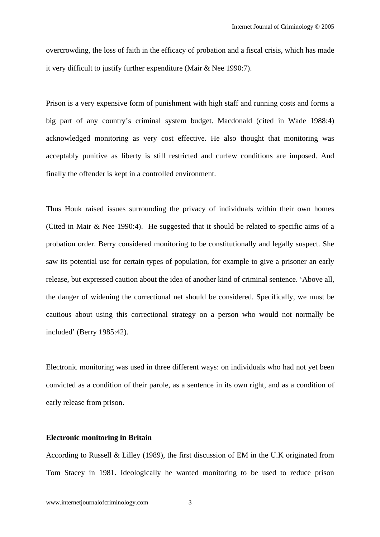overcrowding, the loss of faith in the efficacy of probation and a fiscal crisis, which has made it very difficult to justify further expenditure (Mair & Nee 1990:7).

Prison is a very expensive form of punishment with high staff and running costs and forms a big part of any country's criminal system budget. Macdonald (cited in Wade 1988:4) acknowledged monitoring as very cost effective. He also thought that monitoring was acceptably punitive as liberty is still restricted and curfew conditions are imposed. And finally the offender is kept in a controlled environment.

Thus Houk raised issues surrounding the privacy of individuals within their own homes (Cited in Mair & Nee 1990:4). He suggested that it should be related to specific aims of a probation order. Berry considered monitoring to be constitutionally and legally suspect. She saw its potential use for certain types of population, for example to give a prisoner an early release, but expressed caution about the idea of another kind of criminal sentence. 'Above all, the danger of widening the correctional net should be considered. Specifically, we must be cautious about using this correctional strategy on a person who would not normally be included' (Berry 1985:42).

Electronic monitoring was used in three different ways: on individuals who had not yet been convicted as a condition of their parole, as a sentence in its own right, and as a condition of early release from prison.

# **Electronic monitoring in Britain**

According to Russell & Lilley (1989), the first discussion of EM in the U.K originated from Tom Stacey in 1981. Ideologically he wanted monitoring to be used to reduce prison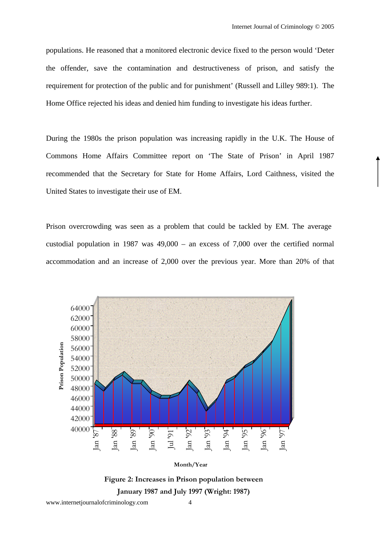populations. He reasoned that a monitored electronic device fixed to the person would 'Deter the offender, save the contamination and destructiveness of prison, and satisfy the requirement for protection of the public and for punishment' (Russell and Lilley 989:1). The Home Office rejected his ideas and denied him funding to investigate his ideas further.

During the 1980s the prison population was increasing rapidly in the U.K. The House of Commons Home Affairs Committee report on 'The State of Prison' in April 1987 recommended that the Secretary for State for Home Affairs, Lord Caithness, visited the United States to investigate their use of EM.

Prison overcrowding was seen as a problem that could be tackled by EM. The average custodial population in 1987 was 49,000 – an excess of 7,000 over the certified normal accommodation and an increase of 2,000 over the previous year. More than 20% of that



**Figure 2: Increases in Prison population between January 1987 and July 1997 (Wright: 1987)**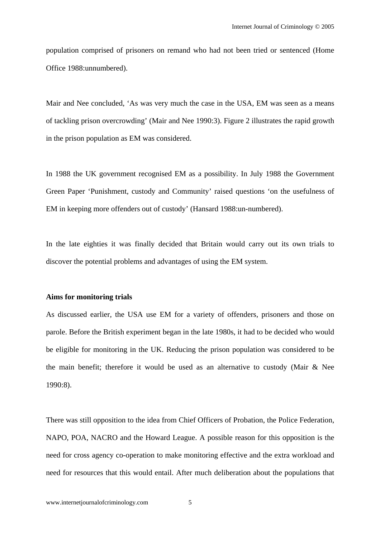population comprised of prisoners on remand who had not been tried or sentenced (Home Office 1988:unnumbered).

Mair and Nee concluded, 'As was very much the case in the USA, EM was seen as a means of tackling prison overcrowding' (Mair and Nee 1990:3). Figure 2 illustrates the rapid growth in the prison population as EM was considered.

In 1988 the UK government recognised EM as a possibility. In July 1988 the Government Green Paper 'Punishment, custody and Community' raised questions 'on the usefulness of EM in keeping more offenders out of custody' (Hansard 1988:un-numbered).

In the late eighties it was finally decided that Britain would carry out its own trials to discover the potential problems and advantages of using the EM system.

#### **Aims for monitoring trials**

As discussed earlier, the USA use EM for a variety of offenders, prisoners and those on parole. Before the British experiment began in the late 1980s, it had to be decided who would be eligible for monitoring in the UK. Reducing the prison population was considered to be the main benefit; therefore it would be used as an alternative to custody (Mair & Nee 1990:8).

There was still opposition to the idea from Chief Officers of Probation, the Police Federation, NAPO, POA, NACRO and the Howard League. A possible reason for this opposition is the need for cross agency co-operation to make monitoring effective and the extra workload and need for resources that this would entail. After much deliberation about the populations that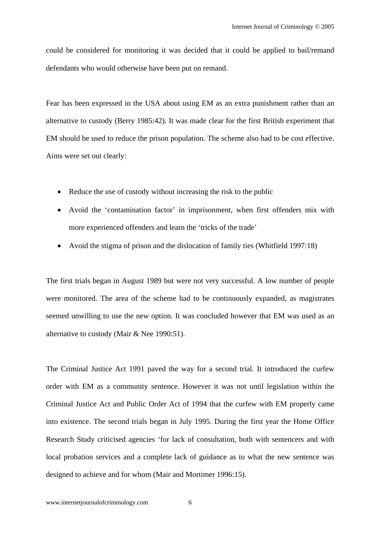could be considered for monitoring it was decided that it could be applied to bail/remand defendants who would otherwise have been put on remand.

Fear has been expressed in the USA about using EM as an extra punishment rather than an alternative to custody (Berry 1985:42). It was made clear for the first British experiment that EM should be used to reduce the prison population. The scheme also had to be cost effective. Aims were set out clearly:

- Reduce the use of custody without increasing the risk to the public
- Avoid the 'contamination factor' in imprisonment, when first offenders mix with more experienced offenders and learn the 'tricks of the trade'
- Avoid the stigma of prison and the dislocation of family ties (Whitfield 1997:18)

The first trials began in August 1989 but were not very successful. A low number of people were monitored. The area of the scheme had to be continuously expanded, as magistrates seemed unwilling to use the new option. It was concluded however that EM was used as an alternative to custody (Mair & Nee 1990:51).

The Criminal Justice Act 1991 paved the way for a second trial. It introduced the curfew order with EM as a community sentence. However it was not until legislation within the Criminal Justice Act and Public Order Act of 1994 that the curfew with EM properly came into existence. The second trials began in July 1995. During the first year the Home Office Research Study criticised agencies 'for lack of consultation, both with sentencers and with local probation services and a complete lack of guidance as to what the new sentence was designed to achieve and for whom (Mair and Mortimer 1996:15).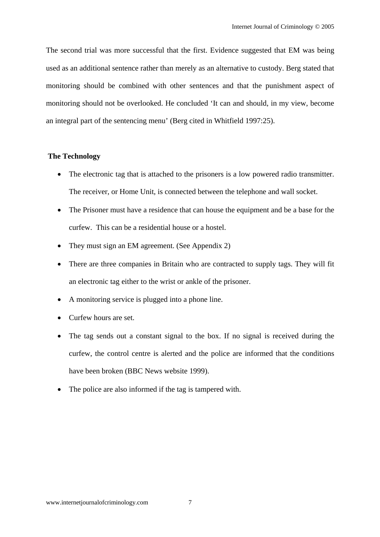The second trial was more successful that the first. Evidence suggested that EM was being used as an additional sentence rather than merely as an alternative to custody. Berg stated that monitoring should be combined with other sentences and that the punishment aspect of monitoring should not be overlooked. He concluded 'It can and should, in my view, become an integral part of the sentencing menu' (Berg cited in Whitfield 1997:25).

# **The Technology**

- The electronic tag that is attached to the prisoners is a low powered radio transmitter. The receiver, or Home Unit, is connected between the telephone and wall socket.
- The Prisoner must have a residence that can house the equipment and be a base for the curfew. This can be a residential house or a hostel.
- They must sign an EM agreement. (See Appendix 2)
- There are three companies in Britain who are contracted to supply tags. They will fit an electronic tag either to the wrist or ankle of the prisoner.
- A monitoring service is plugged into a phone line.
- Curfew hours are set.
- The tag sends out a constant signal to the box. If no signal is received during the curfew, the control centre is alerted and the police are informed that the conditions have been broken (BBC News website 1999).
- The police are also informed if the tag is tampered with.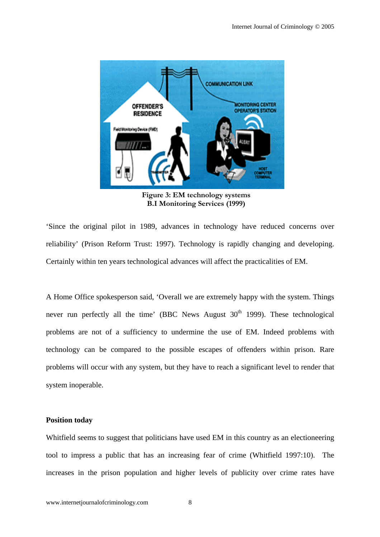

**Figure 3: EM technology systems B.I Monitoring Services (1999)** 

'Since the original pilot in 1989, advances in technology have reduced concerns over reliability' (Prison Reform Trust: 1997). Technology is rapidly changing and developing. Certainly within ten years technological advances will affect the practicalities of EM.

A Home Office spokesperson said, 'Overall we are extremely happy with the system. Things never run perfectly all the time' (BBC News August  $30<sup>th</sup>$  1999). These technological problems are not of a sufficiency to undermine the use of EM. Indeed problems with technology can be compared to the possible escapes of offenders within prison. Rare problems will occur with any system, but they have to reach a significant level to render that system inoperable.

## **Position today**

Whitfield seems to suggest that politicians have used EM in this country as an electioneering tool to impress a public that has an increasing fear of crime (Whitfield 1997:10). The increases in the prison population and higher levels of publicity over crime rates have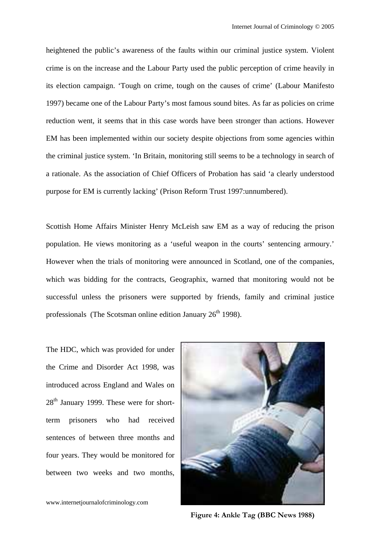heightened the public's awareness of the faults within our criminal justice system. Violent crime is on the increase and the Labour Party used the public perception of crime heavily in its election campaign. 'Tough on crime, tough on the causes of crime' (Labour Manifesto 1997) became one of the Labour Party's most famous sound bites. As far as policies on crime reduction went, it seems that in this case words have been stronger than actions. However EM has been implemented within our society despite objections from some agencies within the criminal justice system. 'In Britain, monitoring still seems to be a technology in search of a rationale. As the association of Chief Officers of Probation has said 'a clearly understood purpose for EM is currently lacking' (Prison Reform Trust 1997:unnumbered).

Scottish Home Affairs Minister Henry McLeish saw EM as a way of reducing the prison population. He views monitoring as a 'useful weapon in the courts' sentencing armoury.' However when the trials of monitoring were announced in Scotland, one of the companies, which was bidding for the contracts, Geographix, warned that monitoring would not be successful unless the prisoners were supported by friends, family and criminal justice professionals (The Scotsman online edition January  $26<sup>th</sup>$  1998).

The HDC, which was provided for under the Crime and Disorder Act 1998, was introduced across England and Wales on  $28<sup>th</sup>$  January 1999. These were for shortterm prisoners who had received sentences of between three months and four years. They would be monitored for between two weeks and two months,



www.internetjournalofcriminology.com 9

**Figure 4: Ankle Tag (BBC News 1988)**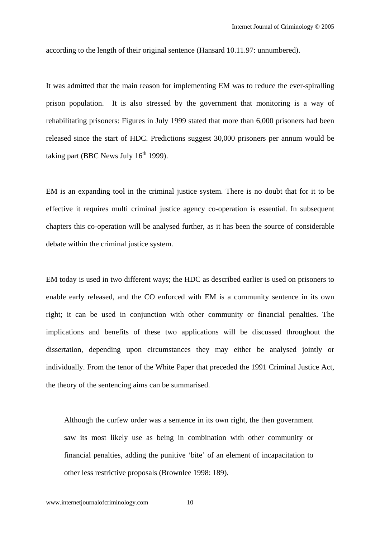according to the length of their original sentence (Hansard 10.11.97: unnumbered).

It was admitted that the main reason for implementing EM was to reduce the ever-spiralling prison population. It is also stressed by the government that monitoring is a way of rehabilitating prisoners: Figures in July 1999 stated that more than 6,000 prisoners had been released since the start of HDC. Predictions suggest 30,000 prisoners per annum would be taking part (BBC News July  $16<sup>th</sup>$  1999).

EM is an expanding tool in the criminal justice system. There is no doubt that for it to be effective it requires multi criminal justice agency co-operation is essential. In subsequent chapters this co-operation will be analysed further, as it has been the source of considerable debate within the criminal justice system.

EM today is used in two different ways; the HDC as described earlier is used on prisoners to enable early released, and the CO enforced with EM is a community sentence in its own right; it can be used in conjunction with other community or financial penalties. The implications and benefits of these two applications will be discussed throughout the dissertation, depending upon circumstances they may either be analysed jointly or individually. From the tenor of the White Paper that preceded the 1991 Criminal Justice Act, the theory of the sentencing aims can be summarised.

Although the curfew order was a sentence in its own right, the then government saw its most likely use as being in combination with other community or financial penalties, adding the punitive 'bite' of an element of incapacitation to other less restrictive proposals (Brownlee 1998: 189).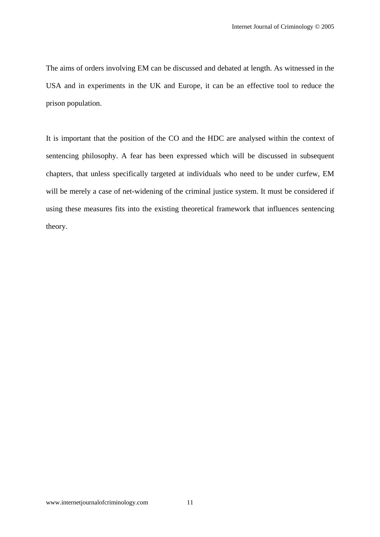The aims of orders involving EM can be discussed and debated at length. As witnessed in the USA and in experiments in the UK and Europe, it can be an effective tool to reduce the prison population.

It is important that the position of the CO and the HDC are analysed within the context of sentencing philosophy. A fear has been expressed which will be discussed in subsequent chapters, that unless specifically targeted at individuals who need to be under curfew, EM will be merely a case of net-widening of the criminal justice system. It must be considered if using these measures fits into the existing theoretical framework that influences sentencing theory.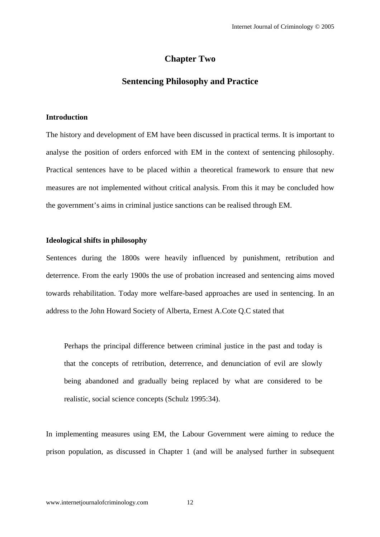# **Chapter Two**

# **Sentencing Philosophy and Practice**

# **Introduction**

The history and development of EM have been discussed in practical terms. It is important to analyse the position of orders enforced with EM in the context of sentencing philosophy. Practical sentences have to be placed within a theoretical framework to ensure that new measures are not implemented without critical analysis. From this it may be concluded how the government's aims in criminal justice sanctions can be realised through EM.

# **Ideological shifts in philosophy**

Sentences during the 1800s were heavily influenced by punishment, retribution and deterrence. From the early 1900s the use of probation increased and sentencing aims moved towards rehabilitation. Today more welfare-based approaches are used in sentencing. In an address to the John Howard Society of Alberta, Ernest A.Cote Q.C stated that

Perhaps the principal difference between criminal justice in the past and today is that the concepts of retribution, deterrence, and denunciation of evil are slowly being abandoned and gradually being replaced by what are considered to be realistic, social science concepts (Schulz 1995:34).

In implementing measures using EM, the Labour Government were aiming to reduce the prison population, as discussed in Chapter 1 (and will be analysed further in subsequent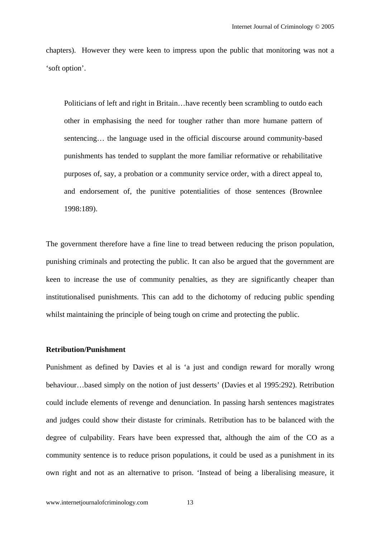chapters). However they were keen to impress upon the public that monitoring was not a 'soft option'.

Politicians of left and right in Britain…have recently been scrambling to outdo each other in emphasising the need for tougher rather than more humane pattern of sentencing… the language used in the official discourse around community-based punishments has tended to supplant the more familiar reformative or rehabilitative purposes of, say, a probation or a community service order, with a direct appeal to, and endorsement of, the punitive potentialities of those sentences (Brownlee 1998:189).

The government therefore have a fine line to tread between reducing the prison population, punishing criminals and protecting the public. It can also be argued that the government are keen to increase the use of community penalties, as they are significantly cheaper than institutionalised punishments. This can add to the dichotomy of reducing public spending whilst maintaining the principle of being tough on crime and protecting the public.

## **Retribution/Punishment**

Punishment as defined by Davies et al is 'a just and condign reward for morally wrong behaviour…based simply on the notion of just desserts' (Davies et al 1995:292). Retribution could include elements of revenge and denunciation. In passing harsh sentences magistrates and judges could show their distaste for criminals. Retribution has to be balanced with the degree of culpability. Fears have been expressed that, although the aim of the CO as a community sentence is to reduce prison populations, it could be used as a punishment in its own right and not as an alternative to prison. 'Instead of being a liberalising measure, it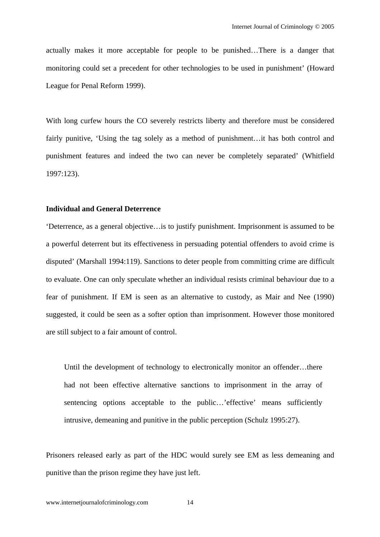actually makes it more acceptable for people to be punished…There is a danger that monitoring could set a precedent for other technologies to be used in punishment' (Howard League for Penal Reform 1999).

With long curfew hours the CO severely restricts liberty and therefore must be considered fairly punitive, 'Using the tag solely as a method of punishment…it has both control and punishment features and indeed the two can never be completely separated' (Whitfield 1997:123).

# **Individual and General Deterrence**

'Deterrence, as a general objective…is to justify punishment. Imprisonment is assumed to be a powerful deterrent but its effectiveness in persuading potential offenders to avoid crime is disputed' (Marshall 1994:119). Sanctions to deter people from committing crime are difficult to evaluate. One can only speculate whether an individual resists criminal behaviour due to a fear of punishment. If EM is seen as an alternative to custody, as Mair and Nee (1990) suggested, it could be seen as a softer option than imprisonment. However those monitored are still subject to a fair amount of control.

Until the development of technology to electronically monitor an offender…there had not been effective alternative sanctions to imprisonment in the array of sentencing options acceptable to the public…'effective' means sufficiently intrusive, demeaning and punitive in the public perception (Schulz 1995:27).

Prisoners released early as part of the HDC would surely see EM as less demeaning and punitive than the prison regime they have just left.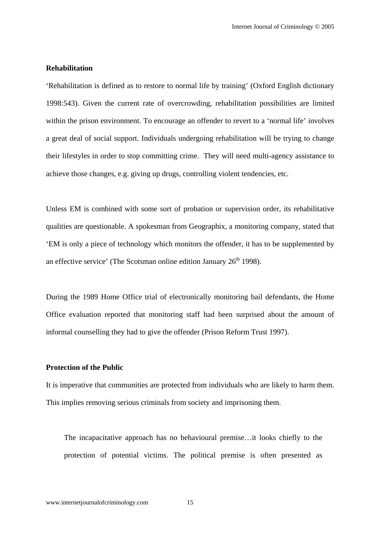# **Rehabilitation**

'Rehabilitation is defined as to restore to normal life by training' (Oxford English dictionary 1998:543). Given the current rate of overcrowding, rehabilitation possibilities are limited within the prison environment. To encourage an offender to revert to a 'normal life' involves a great deal of social support. Individuals undergoing rehabilitation will be trying to change their lifestyles in order to stop committing crime. They will need multi-agency assistance to achieve those changes, e.g. giving up drugs, controlling violent tendencies, etc.

Unless EM is combined with some sort of probation or supervision order, its rehabilitative qualities are questionable. A spokesman from Geographix, a monitoring company, stated that 'EM is only a piece of technology which monitors the offender, it has to be supplemented by an effective service' (The Scotsman online edition January  $26<sup>th</sup>$  1998).

During the 1989 Home Office trial of electronically monitoring bail defendants, the Home Office evaluation reported that monitoring staff had been surprised about the amount of informal counselling they had to give the offender (Prison Reform Trust 1997).

# **Protection of the Public**

It is imperative that communities are protected from individuals who are likely to harm them. This implies removing serious criminals from society and imprisoning them.

The incapacitative approach has no behavioural premise…it looks chiefly to the protection of potential victims. The political premise is often presented as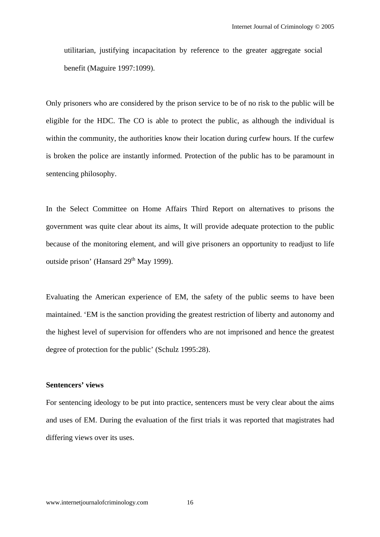utilitarian, justifying incapacitation by reference to the greater aggregate social benefit (Maguire 1997:1099).

Only prisoners who are considered by the prison service to be of no risk to the public will be eligible for the HDC. The CO is able to protect the public, as although the individual is within the community, the authorities know their location during curfew hours. If the curfew is broken the police are instantly informed. Protection of the public has to be paramount in sentencing philosophy.

In the Select Committee on Home Affairs Third Report on alternatives to prisons the government was quite clear about its aims, It will provide adequate protection to the public because of the monitoring element, and will give prisoners an opportunity to readjust to life outside prison' (Hansard  $29<sup>th</sup>$  May 1999).

Evaluating the American experience of EM, the safety of the public seems to have been maintained. 'EM is the sanction providing the greatest restriction of liberty and autonomy and the highest level of supervision for offenders who are not imprisoned and hence the greatest degree of protection for the public' (Schulz 1995:28).

## **Sentencers' views**

For sentencing ideology to be put into practice, sentencers must be very clear about the aims and uses of EM. During the evaluation of the first trials it was reported that magistrates had differing views over its uses.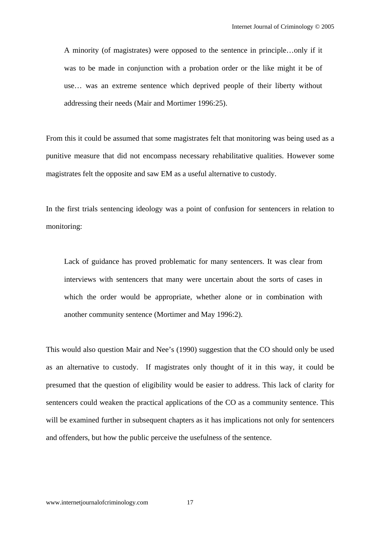A minority (of magistrates) were opposed to the sentence in principle…only if it was to be made in conjunction with a probation order or the like might it be of use… was an extreme sentence which deprived people of their liberty without addressing their needs (Mair and Mortimer 1996:25).

From this it could be assumed that some magistrates felt that monitoring was being used as a punitive measure that did not encompass necessary rehabilitative qualities. However some magistrates felt the opposite and saw EM as a useful alternative to custody.

In the first trials sentencing ideology was a point of confusion for sentencers in relation to monitoring:

Lack of guidance has proved problematic for many sentencers. It was clear from interviews with sentencers that many were uncertain about the sorts of cases in which the order would be appropriate, whether alone or in combination with another community sentence (Mortimer and May 1996:2).

This would also question Mair and Nee's (1990) suggestion that the CO should only be used as an alternative to custody. If magistrates only thought of it in this way, it could be presumed that the question of eligibility would be easier to address. This lack of clarity for sentencers could weaken the practical applications of the CO as a community sentence. This will be examined further in subsequent chapters as it has implications not only for sentencers and offenders, but how the public perceive the usefulness of the sentence.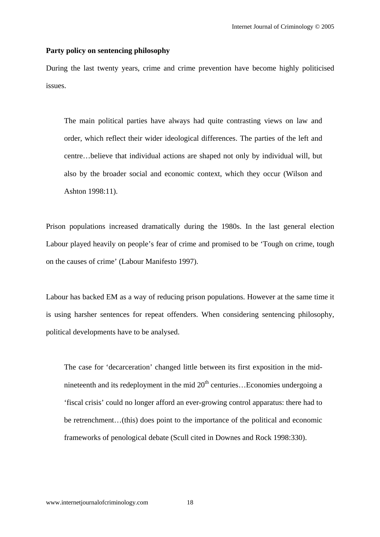#### **Party policy on sentencing philosophy**

During the last twenty years, crime and crime prevention have become highly politicised issues.

The main political parties have always had quite contrasting views on law and order, which reflect their wider ideological differences. The parties of the left and centre…believe that individual actions are shaped not only by individual will, but also by the broader social and economic context, which they occur (Wilson and Ashton 1998:11).

Prison populations increased dramatically during the 1980s. In the last general election Labour played heavily on people's fear of crime and promised to be 'Tough on crime, tough on the causes of crime' (Labour Manifesto 1997).

Labour has backed EM as a way of reducing prison populations. However at the same time it is using harsher sentences for repeat offenders. When considering sentencing philosophy, political developments have to be analysed.

The case for 'decarceration' changed little between its first exposition in the midnineteenth and its redeployment in the mid  $20<sup>th</sup>$  centuries... Economies undergoing a 'fiscal crisis' could no longer afford an ever-growing control apparatus: there had to be retrenchment…(this) does point to the importance of the political and economic frameworks of penological debate (Scull cited in Downes and Rock 1998:330).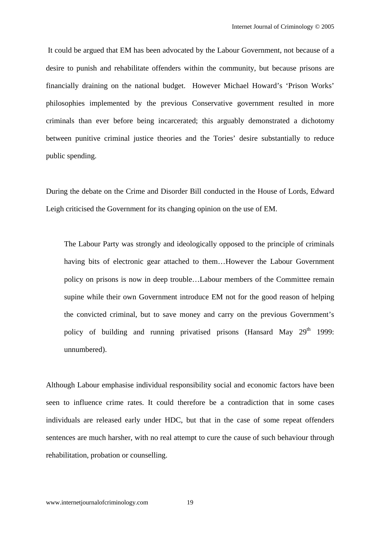It could be argued that EM has been advocated by the Labour Government, not because of a desire to punish and rehabilitate offenders within the community, but because prisons are financially draining on the national budget. However Michael Howard's 'Prison Works' philosophies implemented by the previous Conservative government resulted in more criminals than ever before being incarcerated; this arguably demonstrated a dichotomy between punitive criminal justice theories and the Tories' desire substantially to reduce public spending.

During the debate on the Crime and Disorder Bill conducted in the House of Lords, Edward Leigh criticised the Government for its changing opinion on the use of EM.

The Labour Party was strongly and ideologically opposed to the principle of criminals having bits of electronic gear attached to them…However the Labour Government policy on prisons is now in deep trouble…Labour members of the Committee remain supine while their own Government introduce EM not for the good reason of helping the convicted criminal, but to save money and carry on the previous Government's policy of building and running privatised prisons (Hansard May  $29<sup>th</sup> 1999$ : unnumbered).

Although Labour emphasise individual responsibility social and economic factors have been seen to influence crime rates. It could therefore be a contradiction that in some cases individuals are released early under HDC, but that in the case of some repeat offenders sentences are much harsher, with no real attempt to cure the cause of such behaviour through rehabilitation, probation or counselling.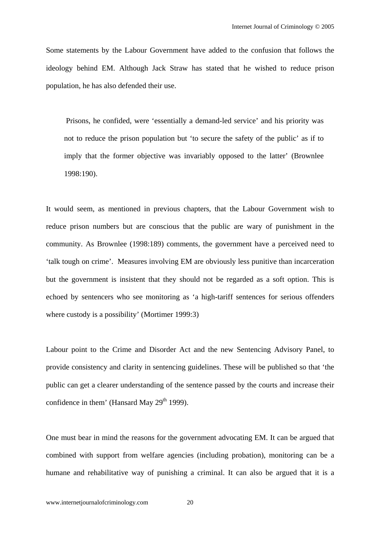Some statements by the Labour Government have added to the confusion that follows the ideology behind EM. Although Jack Straw has stated that he wished to reduce prison population, he has also defended their use.

 Prisons, he confided, were 'essentially a demand-led service' and his priority was not to reduce the prison population but 'to secure the safety of the public' as if to imply that the former objective was invariably opposed to the latter' (Brownlee 1998:190).

It would seem, as mentioned in previous chapters, that the Labour Government wish to reduce prison numbers but are conscious that the public are wary of punishment in the community. As Brownlee (1998:189) comments, the government have a perceived need to 'talk tough on crime'. Measures involving EM are obviously less punitive than incarceration but the government is insistent that they should not be regarded as a soft option. This is echoed by sentencers who see monitoring as 'a high-tariff sentences for serious offenders where custody is a possibility' (Mortimer 1999:3)

Labour point to the Crime and Disorder Act and the new Sentencing Advisory Panel, to provide consistency and clarity in sentencing guidelines. These will be published so that 'the public can get a clearer understanding of the sentence passed by the courts and increase their confidence in them' (Hansard May  $29<sup>th</sup> 1999$ ).

One must bear in mind the reasons for the government advocating EM. It can be argued that combined with support from welfare agencies (including probation), monitoring can be a humane and rehabilitative way of punishing a criminal. It can also be argued that it is a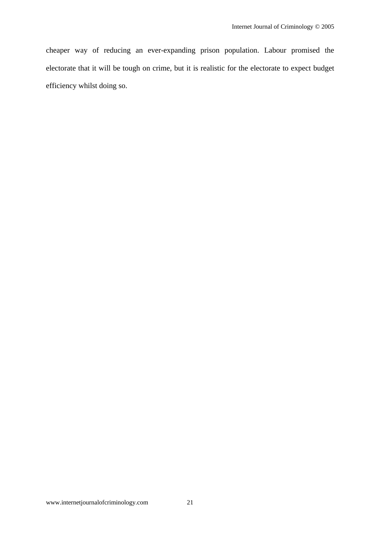cheaper way of reducing an ever-expanding prison population. Labour promised the electorate that it will be tough on crime, but it is realistic for the electorate to expect budget efficiency whilst doing so.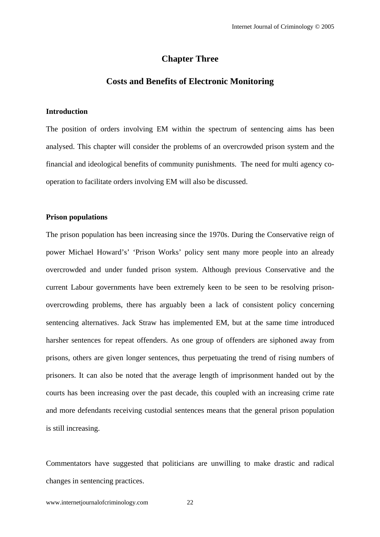# **Chapter Three**

# **Costs and Benefits of Electronic Monitoring**

#### **Introduction**

The position of orders involving EM within the spectrum of sentencing aims has been analysed. This chapter will consider the problems of an overcrowded prison system and the financial and ideological benefits of community punishments. The need for multi agency cooperation to facilitate orders involving EM will also be discussed.

#### **Prison populations**

The prison population has been increasing since the 1970s. During the Conservative reign of power Michael Howard's' 'Prison Works' policy sent many more people into an already overcrowded and under funded prison system. Although previous Conservative and the current Labour governments have been extremely keen to be seen to be resolving prisonovercrowding problems, there has arguably been a lack of consistent policy concerning sentencing alternatives. Jack Straw has implemented EM, but at the same time introduced harsher sentences for repeat offenders. As one group of offenders are siphoned away from prisons, others are given longer sentences, thus perpetuating the trend of rising numbers of prisoners. It can also be noted that the average length of imprisonment handed out by the courts has been increasing over the past decade, this coupled with an increasing crime rate and more defendants receiving custodial sentences means that the general prison population is still increasing.

Commentators have suggested that politicians are unwilling to make drastic and radical changes in sentencing practices.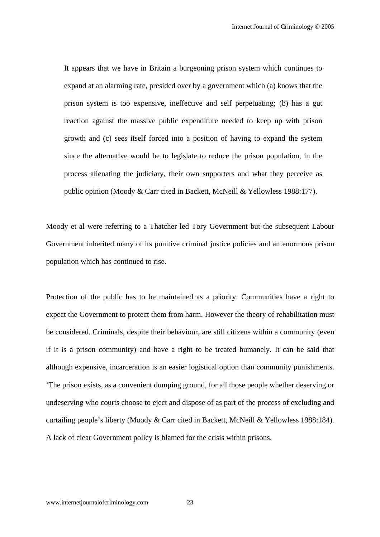It appears that we have in Britain a burgeoning prison system which continues to expand at an alarming rate, presided over by a government which (a) knows that the prison system is too expensive, ineffective and self perpetuating; (b) has a gut reaction against the massive public expenditure needed to keep up with prison growth and (c) sees itself forced into a position of having to expand the system since the alternative would be to legislate to reduce the prison population, in the process alienating the judiciary, their own supporters and what they perceive as public opinion (Moody & Carr cited in Backett, McNeill & Yellowless 1988:177).

Moody et al were referring to a Thatcher led Tory Government but the subsequent Labour Government inherited many of its punitive criminal justice policies and an enormous prison population which has continued to rise.

Protection of the public has to be maintained as a priority. Communities have a right to expect the Government to protect them from harm. However the theory of rehabilitation must be considered. Criminals, despite their behaviour, are still citizens within a community (even if it is a prison community) and have a right to be treated humanely. It can be said that although expensive, incarceration is an easier logistical option than community punishments. 'The prison exists, as a convenient dumping ground, for all those people whether deserving or undeserving who courts choose to eject and dispose of as part of the process of excluding and curtailing people's liberty (Moody & Carr cited in Backett, McNeill & Yellowless 1988:184). A lack of clear Government policy is blamed for the crisis within prisons.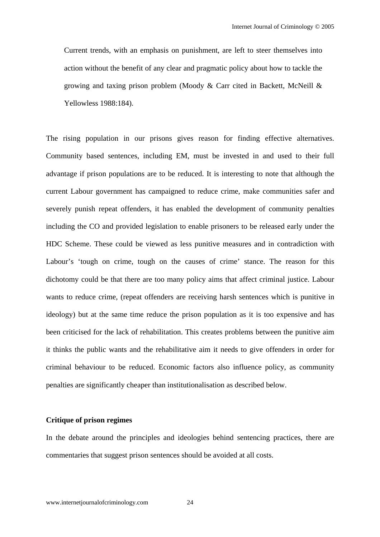Current trends, with an emphasis on punishment, are left to steer themselves into action without the benefit of any clear and pragmatic policy about how to tackle the growing and taxing prison problem (Moody & Carr cited in Backett, McNeill & Yellowless 1988:184).

The rising population in our prisons gives reason for finding effective alternatives. Community based sentences, including EM, must be invested in and used to their full advantage if prison populations are to be reduced. It is interesting to note that although the current Labour government has campaigned to reduce crime, make communities safer and severely punish repeat offenders, it has enabled the development of community penalties including the CO and provided legislation to enable prisoners to be released early under the HDC Scheme. These could be viewed as less punitive measures and in contradiction with Labour's 'tough on crime, tough on the causes of crime' stance. The reason for this dichotomy could be that there are too many policy aims that affect criminal justice. Labour wants to reduce crime, (repeat offenders are receiving harsh sentences which is punitive in ideology) but at the same time reduce the prison population as it is too expensive and has been criticised for the lack of rehabilitation. This creates problems between the punitive aim it thinks the public wants and the rehabilitative aim it needs to give offenders in order for criminal behaviour to be reduced. Economic factors also influence policy, as community penalties are significantly cheaper than institutionalisation as described below.

## **Critique of prison regimes**

In the debate around the principles and ideologies behind sentencing practices, there are commentaries that suggest prison sentences should be avoided at all costs.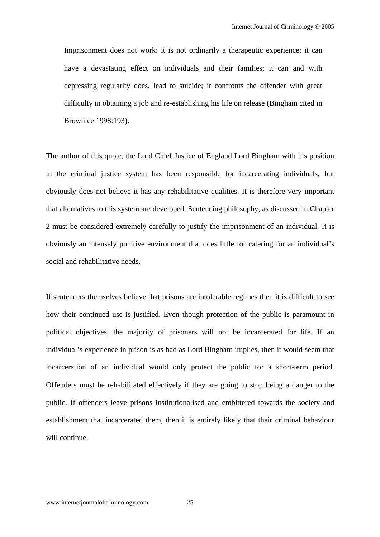Imprisonment does not work: it is not ordinarily a therapeutic experience; it can have a devastating effect on individuals and their families; it can and with depressing regularity does, lead to suicide; it confronts the offender with great difficulty in obtaining a job and re-establishing his life on release (Bingham cited in Brownlee 1998:193).

The author of this quote, the Lord Chief Justice of England Lord Bingham with his position in the criminal justice system has been responsible for incarcerating individuals, but obviously does not believe it has any rehabilitative qualities. It is therefore very important that alternatives to this system are developed. Sentencing philosophy, as discussed in Chapter 2 must be considered extremely carefully to justify the imprisonment of an individual. It is obviously an intensely punitive environment that does little for catering for an individual's social and rehabilitative needs.

If sentencers themselves believe that prisons are intolerable regimes then it is difficult to see how their continued use is justified. Even though protection of the public is paramount in political objectives, the majority of prisoners will not be incarcerated for life. If an individual's experience in prison is as bad as Lord Bingham implies, then it would seem that incarceration of an individual would only protect the public for a short-term period. Offenders must be rehabilitated effectively if they are going to stop being a danger to the public. If offenders leave prisons institutionalised and embittered towards the society and establishment that incarcerated them, then it is entirely likely that their criminal behaviour will continue.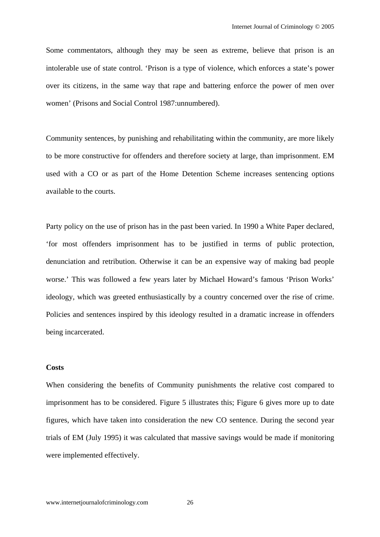Some commentators, although they may be seen as extreme, believe that prison is an intolerable use of state control. 'Prison is a type of violence, which enforces a state's power over its citizens, in the same way that rape and battering enforce the power of men over women' (Prisons and Social Control 1987:unnumbered).

Community sentences, by punishing and rehabilitating within the community, are more likely to be more constructive for offenders and therefore society at large, than imprisonment. EM used with a CO or as part of the Home Detention Scheme increases sentencing options available to the courts.

Party policy on the use of prison has in the past been varied. In 1990 a White Paper declared, 'for most offenders imprisonment has to be justified in terms of public protection, denunciation and retribution. Otherwise it can be an expensive way of making bad people worse.' This was followed a few years later by Michael Howard's famous 'Prison Works' ideology, which was greeted enthusiastically by a country concerned over the rise of crime. Policies and sentences inspired by this ideology resulted in a dramatic increase in offenders being incarcerated.

#### **Costs**

When considering the benefits of Community punishments the relative cost compared to imprisonment has to be considered. Figure 5 illustrates this; Figure 6 gives more up to date figures, which have taken into consideration the new CO sentence. During the second year trials of EM (July 1995) it was calculated that massive savings would be made if monitoring were implemented effectively.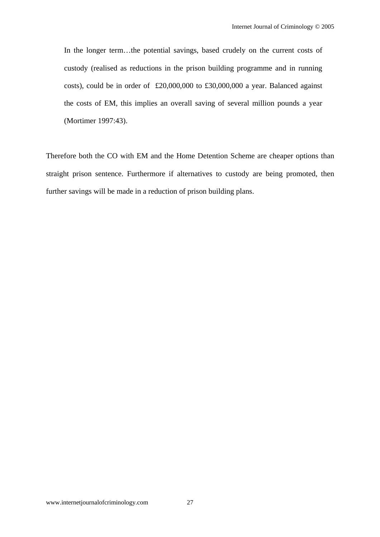In the longer term...the potential savings, based crudely on the current costs of custody (realised as reductions in the prison building programme and in running costs), could be in order of £20,000,000 to £30,000,000 a year. Balanced against the costs of EM, this implies an overall saving of several million pounds a year (Mortimer 1997:43).

Therefore both the CO with EM and the Home Detention Scheme are cheaper options than straight prison sentence. Furthermore if alternatives to custody are being promoted, then further savings will be made in a reduction of prison building plans.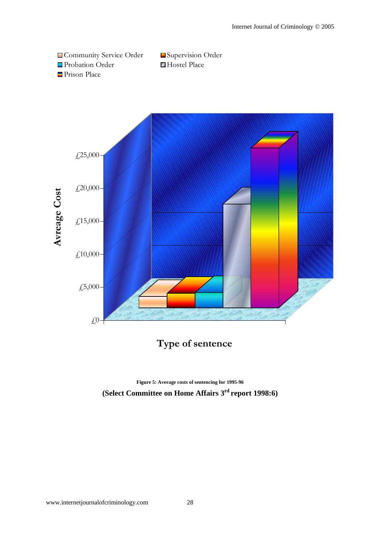



**Type of sentence**

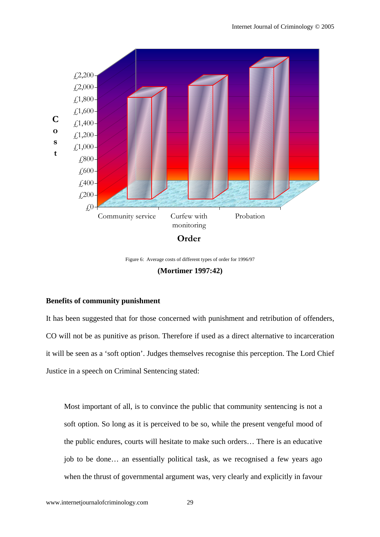

Figure 6: Average costs of different types of order for 1996/97

# **(Mortimer 1997:42)**

#### **Benefits of community punishment**

It has been suggested that for those concerned with punishment and retribution of offenders, CO will not be as punitive as prison. Therefore if used as a direct alternative to incarceration it will be seen as a 'soft option'. Judges themselves recognise this perception. The Lord Chief Justice in a speech on Criminal Sentencing stated:

Most important of all, is to convince the public that community sentencing is not a soft option. So long as it is perceived to be so, while the present vengeful mood of the public endures, courts will hesitate to make such orders… There is an educative job to be done… an essentially political task, as we recognised a few years ago when the thrust of governmental argument was, very clearly and explicitly in favour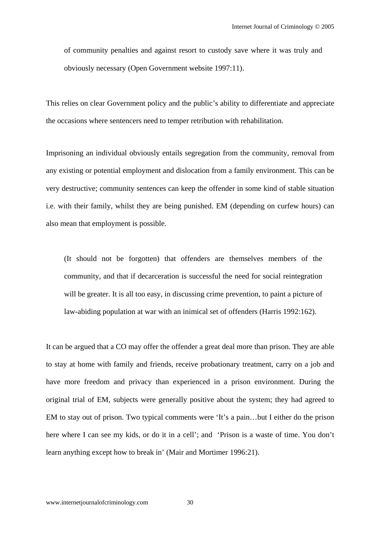of community penalties and against resort to custody save where it was truly and obviously necessary (Open Government website 1997:11).

This relies on clear Government policy and the public's ability to differentiate and appreciate the occasions where sentencers need to temper retribution with rehabilitation.

Imprisoning an individual obviously entails segregation from the community, removal from any existing or potential employment and dislocation from a family environment. This can be very destructive; community sentences can keep the offender in some kind of stable situation i.e. with their family, whilst they are being punished. EM (depending on curfew hours) can also mean that employment is possible.

(It should not be forgotten) that offenders are themselves members of the community, and that if decarceration is successful the need for social reintegration will be greater. It is all too easy, in discussing crime prevention, to paint a picture of law-abiding population at war with an inimical set of offenders (Harris 1992:162).

It can be argued that a CO may offer the offender a great deal more than prison. They are able to stay at home with family and friends, receive probationary treatment, carry on a job and have more freedom and privacy than experienced in a prison environment. During the original trial of EM, subjects were generally positive about the system; they had agreed to EM to stay out of prison. Two typical comments were 'It's a pain…but I either do the prison here where I can see my kids, or do it in a cell'; and 'Prison is a waste of time. You don't learn anything except how to break in' (Mair and Mortimer 1996:21).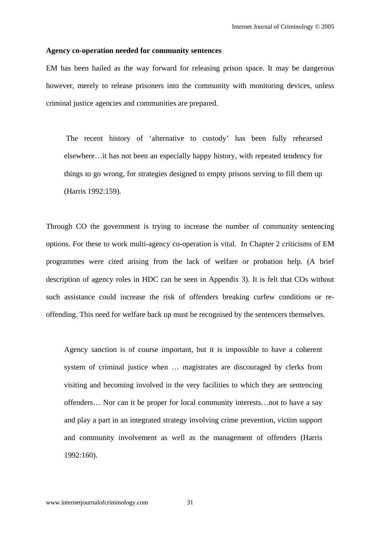#### **Agency co-operation needed for community sentences**

EM has been hailed as the way forward for releasing prison space. It may be dangerous however, merely to release prisoners into the community with monitoring devices, unless criminal justice agencies and communities are prepared.

 The recent history of 'alternative to custody' has been fully rehearsed elsewhere…it has not been an especially happy history, with repeated tendency for things to go wrong, for strategies designed to empty prisons serving to fill them up (Harris 1992:159).

Through CO the government is trying to increase the number of community sentencing options. For these to work multi-agency co-operation is vital. In Chapter 2 criticisms of EM programmes were cited arising from the lack of welfare or probation help. (A brief description of agency roles in HDC can be seen in Appendix 3). It is felt that COs without such assistance could increase the risk of offenders breaking curfew conditions or reoffending. This need for welfare back up must be recognised by the sentencers themselves.

Agency sanction is of course important, but it is impossible to have a coherent system of criminal justice when … magistrates are discouraged by clerks from visiting and becoming involved in the very facilities to which they are sentencing offenders… Nor can it be proper for local community interests…not to have a say and play a part in an integrated strategy involving crime prevention, victim support and community involvement as well as the management of offenders (Harris 1992:160).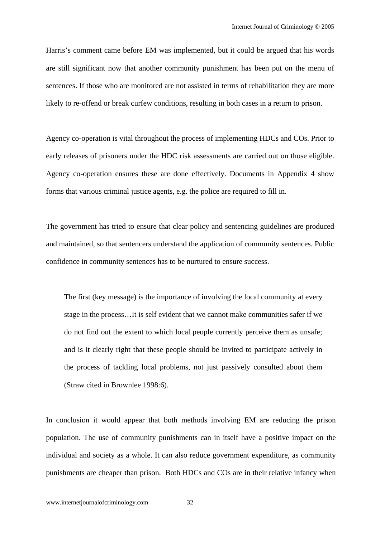Harris's comment came before EM was implemented, but it could be argued that his words are still significant now that another community punishment has been put on the menu of sentences. If those who are monitored are not assisted in terms of rehabilitation they are more likely to re-offend or break curfew conditions, resulting in both cases in a return to prison.

Agency co-operation is vital throughout the process of implementing HDCs and COs. Prior to early releases of prisoners under the HDC risk assessments are carried out on those eligible. Agency co-operation ensures these are done effectively. Documents in Appendix 4 show forms that various criminal justice agents, e.g. the police are required to fill in.

The government has tried to ensure that clear policy and sentencing guidelines are produced and maintained, so that sentencers understand the application of community sentences. Public confidence in community sentences has to be nurtured to ensure success.

The first (key message) is the importance of involving the local community at every stage in the process…It is self evident that we cannot make communities safer if we do not find out the extent to which local people currently perceive them as unsafe; and is it clearly right that these people should be invited to participate actively in the process of tackling local problems, not just passively consulted about them (Straw cited in Brownlee 1998:6).

In conclusion it would appear that both methods involving EM are reducing the prison population. The use of community punishments can in itself have a positive impact on the individual and society as a whole. It can also reduce government expenditure, as community punishments are cheaper than prison. Both HDCs and COs are in their relative infancy when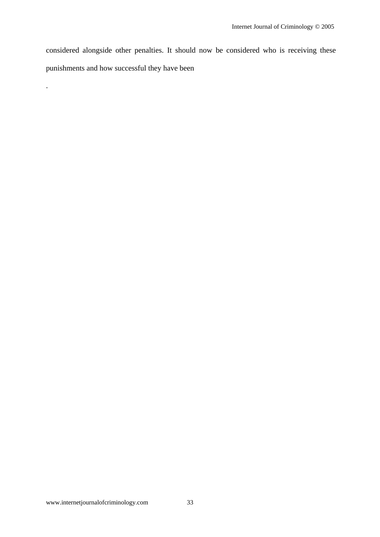considered alongside other penalties. It should now be considered who is receiving these punishments and how successful they have been

.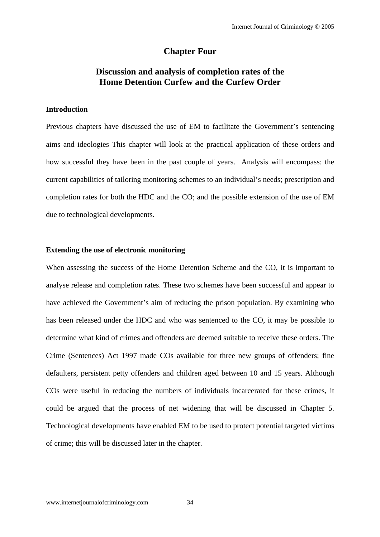## **Chapter Four**

# **Discussion and analysis of completion rates of the Home Detention Curfew and the Curfew Order**

### **Introduction**

Previous chapters have discussed the use of EM to facilitate the Government's sentencing aims and ideologies This chapter will look at the practical application of these orders and how successful they have been in the past couple of years. Analysis will encompass: the current capabilities of tailoring monitoring schemes to an individual's needs; prescription and completion rates for both the HDC and the CO; and the possible extension of the use of EM due to technological developments.

### **Extending the use of electronic monitoring**

When assessing the success of the Home Detention Scheme and the CO, it is important to analyse release and completion rates. These two schemes have been successful and appear to have achieved the Government's aim of reducing the prison population. By examining who has been released under the HDC and who was sentenced to the CO, it may be possible to determine what kind of crimes and offenders are deemed suitable to receive these orders. The Crime (Sentences) Act 1997 made COs available for three new groups of offenders; fine defaulters, persistent petty offenders and children aged between 10 and 15 years. Although COs were useful in reducing the numbers of individuals incarcerated for these crimes, it could be argued that the process of net widening that will be discussed in Chapter 5. Technological developments have enabled EM to be used to protect potential targeted victims of crime; this will be discussed later in the chapter.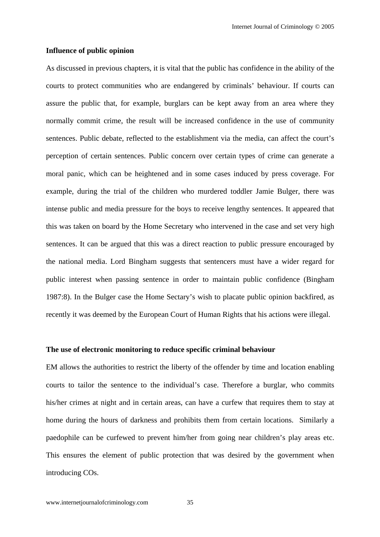#### **Influence of public opinion**

As discussed in previous chapters, it is vital that the public has confidence in the ability of the courts to protect communities who are endangered by criminals' behaviour. If courts can assure the public that, for example, burglars can be kept away from an area where they normally commit crime, the result will be increased confidence in the use of community sentences. Public debate, reflected to the establishment via the media, can affect the court's perception of certain sentences. Public concern over certain types of crime can generate a moral panic, which can be heightened and in some cases induced by press coverage. For example, during the trial of the children who murdered toddler Jamie Bulger, there was intense public and media pressure for the boys to receive lengthy sentences. It appeared that this was taken on board by the Home Secretary who intervened in the case and set very high sentences. It can be argued that this was a direct reaction to public pressure encouraged by the national media. Lord Bingham suggests that sentencers must have a wider regard for public interest when passing sentence in order to maintain public confidence (Bingham 1987:8). In the Bulger case the Home Sectary's wish to placate public opinion backfired, as recently it was deemed by the European Court of Human Rights that his actions were illegal.

### **The use of electronic monitoring to reduce specific criminal behaviour**

EM allows the authorities to restrict the liberty of the offender by time and location enabling courts to tailor the sentence to the individual's case. Therefore a burglar, who commits his/her crimes at night and in certain areas, can have a curfew that requires them to stay at home during the hours of darkness and prohibits them from certain locations. Similarly a paedophile can be curfewed to prevent him/her from going near children's play areas etc. This ensures the element of public protection that was desired by the government when introducing COs.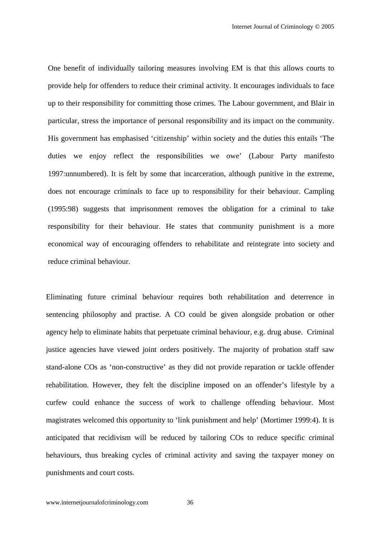One benefit of individually tailoring measures involving EM is that this allows courts to provide help for offenders to reduce their criminal activity. It encourages individuals to face up to their responsibility for committing those crimes. The Labour government, and Blair in particular, stress the importance of personal responsibility and its impact on the community. His government has emphasised 'citizenship' within society and the duties this entails 'The duties we enjoy reflect the responsibilities we owe' (Labour Party manifesto 1997:unnumbered). It is felt by some that incarceration, although punitive in the extreme, does not encourage criminals to face up to responsibility for their behaviour. Campling (1995:98) suggests that imprisonment removes the obligation for a criminal to take responsibility for their behaviour. He states that community punishment is a more economical way of encouraging offenders to rehabilitate and reintegrate into society and reduce criminal behaviour.

Eliminating future criminal behaviour requires both rehabilitation and deterrence in sentencing philosophy and practise. A CO could be given alongside probation or other agency help to eliminate habits that perpetuate criminal behaviour, e.g. drug abuse. Criminal justice agencies have viewed joint orders positively. The majority of probation staff saw stand-alone COs as 'non-constructive' as they did not provide reparation or tackle offender rehabilitation. However, they felt the discipline imposed on an offender's lifestyle by a curfew could enhance the success of work to challenge offending behaviour. Most magistrates welcomed this opportunity to 'link punishment and help' (Mortimer 1999:4). It is anticipated that recidivism will be reduced by tailoring COs to reduce specific criminal behaviours, thus breaking cycles of criminal activity and saving the taxpayer money on punishments and court costs.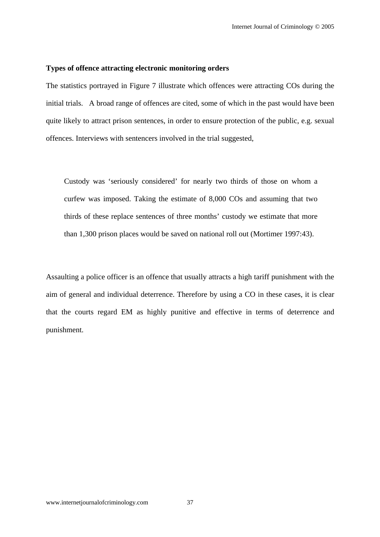### **Types of offence attracting electronic monitoring orders**

The statistics portrayed in Figure 7 illustrate which offences were attracting COs during the initial trials. A broad range of offences are cited, some of which in the past would have been quite likely to attract prison sentences, in order to ensure protection of the public, e.g. sexual offences. Interviews with sentencers involved in the trial suggested,

Custody was 'seriously considered' for nearly two thirds of those on whom a curfew was imposed. Taking the estimate of 8,000 COs and assuming that two thirds of these replace sentences of three months' custody we estimate that more than 1,300 prison places would be saved on national roll out (Mortimer 1997:43).

Assaulting a police officer is an offence that usually attracts a high tariff punishment with the aim of general and individual deterrence. Therefore by using a CO in these cases, it is clear that the courts regard EM as highly punitive and effective in terms of deterrence and punishment.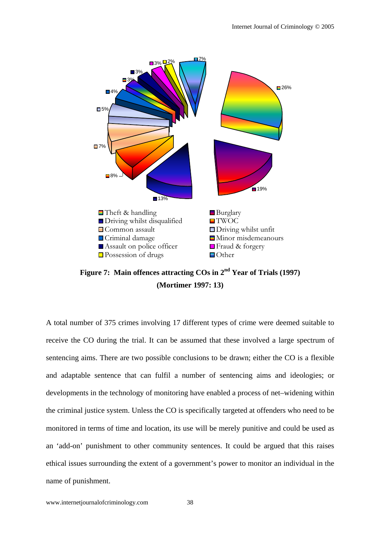

**Figure 7: Main offences attracting COs in 2nd Year of Trials (1997) (Mortimer 1997: 13)** 

A total number of 375 crimes involving 17 different types of crime were deemed suitable to receive the CO during the trial. It can be assumed that these involved a large spectrum of sentencing aims. There are two possible conclusions to be drawn; either the CO is a flexible and adaptable sentence that can fulfil a number of sentencing aims and ideologies; or developments in the technology of monitoring have enabled a process of net–widening within the criminal justice system. Unless the CO is specifically targeted at offenders who need to be monitored in terms of time and location, its use will be merely punitive and could be used as an 'add-on' punishment to other community sentences. It could be argued that this raises ethical issues surrounding the extent of a government's power to monitor an individual in the name of punishment.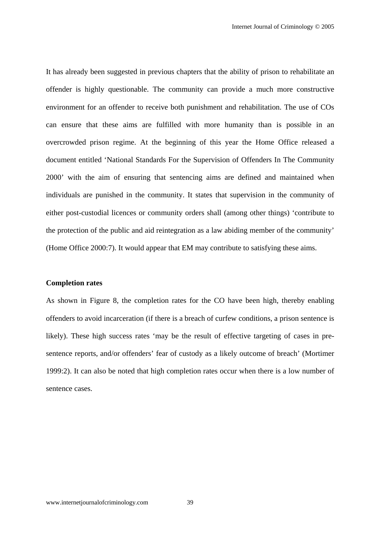It has already been suggested in previous chapters that the ability of prison to rehabilitate an offender is highly questionable. The community can provide a much more constructive environment for an offender to receive both punishment and rehabilitation. The use of COs can ensure that these aims are fulfilled with more humanity than is possible in an overcrowded prison regime. At the beginning of this year the Home Office released a document entitled 'National Standards For the Supervision of Offenders In The Community 2000' with the aim of ensuring that sentencing aims are defined and maintained when individuals are punished in the community. It states that supervision in the community of either post-custodial licences or community orders shall (among other things) 'contribute to the protection of the public and aid reintegration as a law abiding member of the community' (Home Office 2000:7). It would appear that EM may contribute to satisfying these aims.

### **Completion rates**

As shown in Figure 8, the completion rates for the CO have been high, thereby enabling offenders to avoid incarceration (if there is a breach of curfew conditions, a prison sentence is likely). These high success rates 'may be the result of effective targeting of cases in presentence reports, and/or offenders' fear of custody as a likely outcome of breach' (Mortimer 1999:2). It can also be noted that high completion rates occur when there is a low number of sentence cases.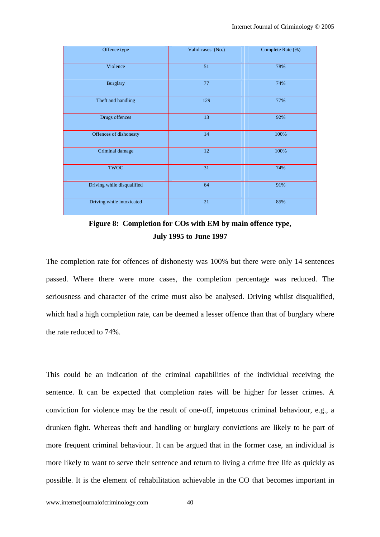| Offence type               | Valid cases (No.) | Complete Rate (%) |
|----------------------------|-------------------|-------------------|
| Violence                   | 51                | 78%               |
| <b>Burglary</b>            | 77                | 74%               |
| Theft and handling         | 129               | 77%               |
| Drugs offences             | 13                | 92%               |
| Offences of dishonesty     | 14                | 100%              |
| Criminal damage            | $12\,$            | 100%              |
| <b>TWOC</b>                | 31                | 74%               |
| Driving while disqualified | 64                | 91%               |
| Driving while intoxicated  | $21\,$            | 85%               |

**Figure 8: Completion for COs with EM by main offence type, July 1995 to June 1997** 

The completion rate for offences of dishonesty was 100% but there were only 14 sentences passed. Where there were more cases, the completion percentage was reduced. The seriousness and character of the crime must also be analysed. Driving whilst disqualified, which had a high completion rate, can be deemed a lesser offence than that of burglary where the rate reduced to 74%.

This could be an indication of the criminal capabilities of the individual receiving the sentence. It can be expected that completion rates will be higher for lesser crimes. A conviction for violence may be the result of one-off, impetuous criminal behaviour, e.g., a drunken fight. Whereas theft and handling or burglary convictions are likely to be part of more frequent criminal behaviour. It can be argued that in the former case, an individual is more likely to want to serve their sentence and return to living a crime free life as quickly as possible. It is the element of rehabilitation achievable in the CO that becomes important in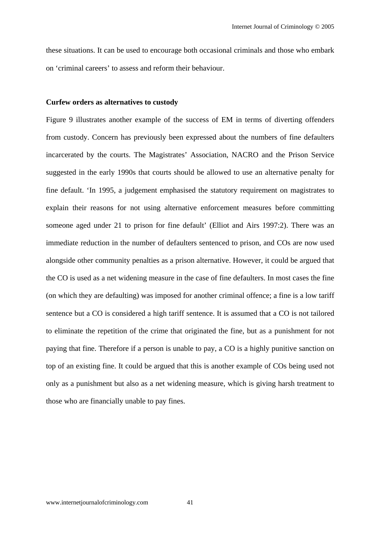these situations. It can be used to encourage both occasional criminals and those who embark on 'criminal careers' to assess and reform their behaviour.

#### **Curfew orders as alternatives to custody**

Figure 9 illustrates another example of the success of EM in terms of diverting offenders from custody. Concern has previously been expressed about the numbers of fine defaulters incarcerated by the courts. The Magistrates' Association, NACRO and the Prison Service suggested in the early 1990s that courts should be allowed to use an alternative penalty for fine default. 'In 1995, a judgement emphasised the statutory requirement on magistrates to explain their reasons for not using alternative enforcement measures before committing someone aged under 21 to prison for fine default' (Elliot and Airs 1997:2). There was an immediate reduction in the number of defaulters sentenced to prison, and COs are now used alongside other community penalties as a prison alternative. However, it could be argued that the CO is used as a net widening measure in the case of fine defaulters. In most cases the fine (on which they are defaulting) was imposed for another criminal offence; a fine is a low tariff sentence but a CO is considered a high tariff sentence. It is assumed that a CO is not tailored to eliminate the repetition of the crime that originated the fine, but as a punishment for not paying that fine. Therefore if a person is unable to pay, a CO is a highly punitive sanction on top of an existing fine. It could be argued that this is another example of COs being used not only as a punishment but also as a net widening measure, which is giving harsh treatment to those who are financially unable to pay fines.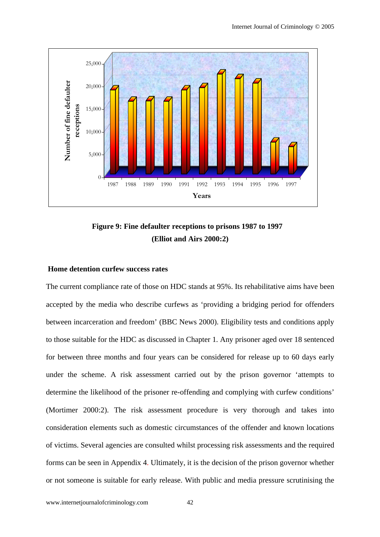

**Figure 9: Fine defaulter receptions to prisons 1987 to 1997 (Elliot and Airs 2000:2)** 

### **Home detention curfew success rates**

The current compliance rate of those on HDC stands at 95%. Its rehabilitative aims have been accepted by the media who describe curfews as 'providing a bridging period for offenders between incarceration and freedom' (BBC News 2000). Eligibility tests and conditions apply to those suitable for the HDC as discussed in Chapter 1. Any prisoner aged over 18 sentenced for between three months and four years can be considered for release up to 60 days early under the scheme. A risk assessment carried out by the prison governor 'attempts to determine the likelihood of the prisoner re-offending and complying with curfew conditions' (Mortimer 2000:2). The risk assessment procedure is very thorough and takes into consideration elements such as domestic circumstances of the offender and known locations of victims. Several agencies are consulted whilst processing risk assessments and the required forms can be seen in Appendix 4. Ultimately, it is the decision of the prison governor whether or not someone is suitable for early release. With public and media pressure scrutinising the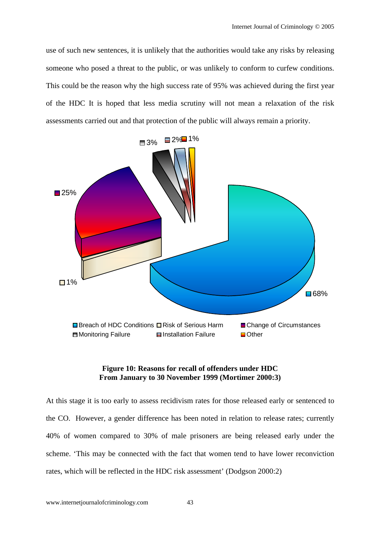use of such new sentences, it is unlikely that the authorities would take any risks by releasing someone who posed a threat to the public, or was unlikely to conform to curfew conditions. This could be the reason why the high success rate of 95% was achieved during the first year of the HDC It is hoped that less media scrutiny will not mean a relaxation of the risk assessments carried out and that protection of the public will always remain a priority.



### **Figure 10: Reasons for recall of offenders under HDC From January to 30 November 1999 (Mortimer 2000:3)**

At this stage it is too early to assess recidivism rates for those released early or sentenced to the CO. However, a gender difference has been noted in relation to release rates; currently 40% of women compared to 30% of male prisoners are being released early under the scheme. 'This may be connected with the fact that women tend to have lower reconviction rates, which will be reflected in the HDC risk assessment' (Dodgson 2000:2)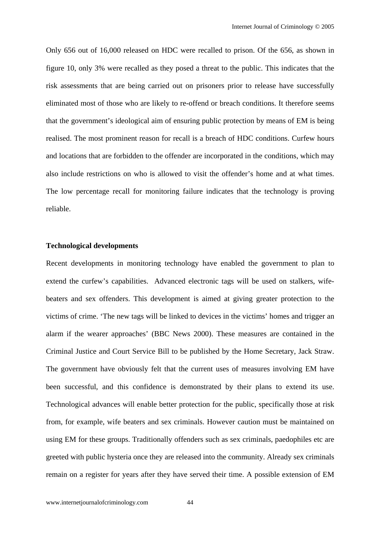Only 656 out of 16,000 released on HDC were recalled to prison. Of the 656, as shown in figure 10, only 3% were recalled as they posed a threat to the public. This indicates that the risk assessments that are being carried out on prisoners prior to release have successfully eliminated most of those who are likely to re-offend or breach conditions. It therefore seems that the government's ideological aim of ensuring public protection by means of EM is being realised. The most prominent reason for recall is a breach of HDC conditions. Curfew hours and locations that are forbidden to the offender are incorporated in the conditions, which may also include restrictions on who is allowed to visit the offender's home and at what times. The low percentage recall for monitoring failure indicates that the technology is proving reliable.

### **Technological developments**

Recent developments in monitoring technology have enabled the government to plan to extend the curfew's capabilities. Advanced electronic tags will be used on stalkers, wifebeaters and sex offenders. This development is aimed at giving greater protection to the victims of crime. 'The new tags will be linked to devices in the victims' homes and trigger an alarm if the wearer approaches' (BBC News 2000). These measures are contained in the Criminal Justice and Court Service Bill to be published by the Home Secretary, Jack Straw. The government have obviously felt that the current uses of measures involving EM have been successful, and this confidence is demonstrated by their plans to extend its use. Technological advances will enable better protection for the public, specifically those at risk from, for example, wife beaters and sex criminals. However caution must be maintained on using EM for these groups. Traditionally offenders such as sex criminals, paedophiles etc are greeted with public hysteria once they are released into the community. Already sex criminals remain on a register for years after they have served their time. A possible extension of EM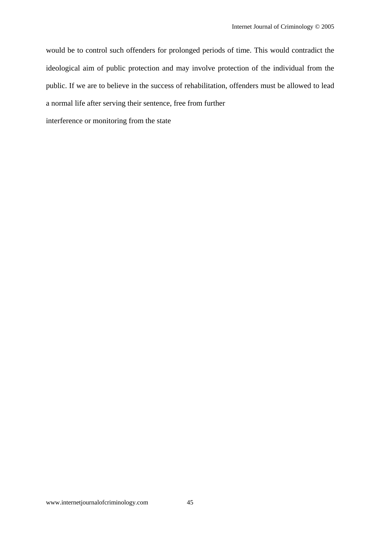would be to control such offenders for prolonged periods of time. This would contradict the ideological aim of public protection and may involve protection of the individual from the public. If we are to believe in the success of rehabilitation, offenders must be allowed to lead a normal life after serving their sentence, free from further

interference or monitoring from the state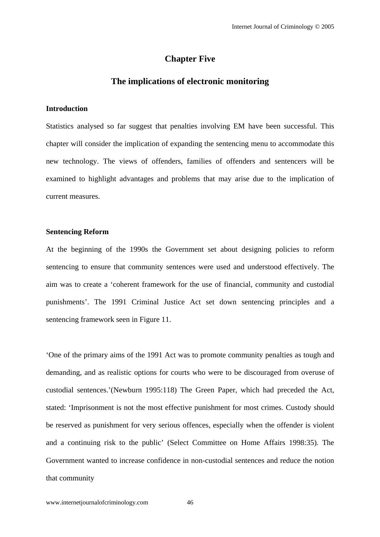## **Chapter Five**

## **The implications of electronic monitoring**

### **Introduction**

Statistics analysed so far suggest that penalties involving EM have been successful. This chapter will consider the implication of expanding the sentencing menu to accommodate this new technology. The views of offenders, families of offenders and sentencers will be examined to highlight advantages and problems that may arise due to the implication of current measures.

#### **Sentencing Reform**

At the beginning of the 1990s the Government set about designing policies to reform sentencing to ensure that community sentences were used and understood effectively. The aim was to create a 'coherent framework for the use of financial, community and custodial punishments'. The 1991 Criminal Justice Act set down sentencing principles and a sentencing framework seen in Figure 11.

'One of the primary aims of the 1991 Act was to promote community penalties as tough and demanding, and as realistic options for courts who were to be discouraged from overuse of custodial sentences.'(Newburn 1995:118) The Green Paper, which had preceded the Act, stated: 'Imprisonment is not the most effective punishment for most crimes. Custody should be reserved as punishment for very serious offences, especially when the offender is violent and a continuing risk to the public' (Select Committee on Home Affairs 1998:35). The Government wanted to increase confidence in non-custodial sentences and reduce the notion that community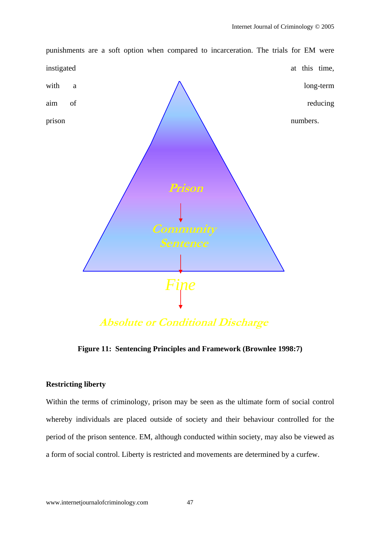

**Figure 11: Sentencing Principles and Framework (Brownlee 1998:7)**

### **Restricting liberty**

Within the terms of criminology, prison may be seen as the ultimate form of social control whereby individuals are placed outside of society and their behaviour controlled for the period of the prison sentence. EM, although conducted within society, may also be viewed as a form of social control. Liberty is restricted and movements are determined by a curfew.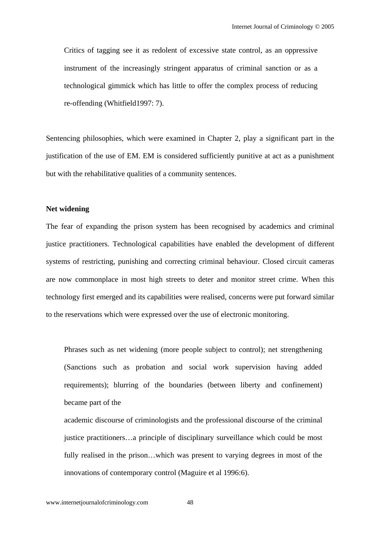Critics of tagging see it as redolent of excessive state control, as an oppressive instrument of the increasingly stringent apparatus of criminal sanction or as a technological gimmick which has little to offer the complex process of reducing re-offending (Whitfield1997: 7).

Sentencing philosophies, which were examined in Chapter 2, play a significant part in the justification of the use of EM. EM is considered sufficiently punitive at act as a punishment but with the rehabilitative qualities of a community sentences.

#### **Net widening**

The fear of expanding the prison system has been recognised by academics and criminal justice practitioners. Technological capabilities have enabled the development of different systems of restricting, punishing and correcting criminal behaviour. Closed circuit cameras are now commonplace in most high streets to deter and monitor street crime. When this technology first emerged and its capabilities were realised, concerns were put forward similar to the reservations which were expressed over the use of electronic monitoring.

Phrases such as net widening (more people subject to control); net strengthening (Sanctions such as probation and social work supervision having added requirements); blurring of the boundaries (between liberty and confinement) became part of the

academic discourse of criminologists and the professional discourse of the criminal justice practitioners…a principle of disciplinary surveillance which could be most fully realised in the prison…which was present to varying degrees in most of the innovations of contemporary control (Maguire et al 1996:6).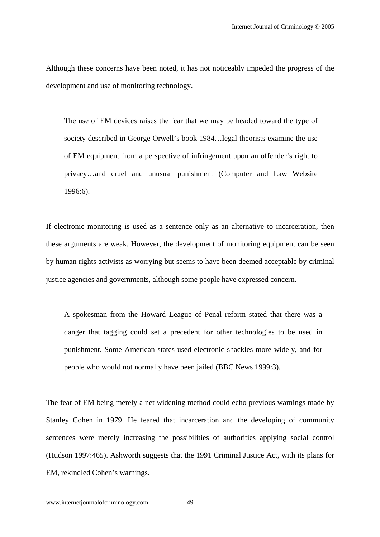Although these concerns have been noted, it has not noticeably impeded the progress of the development and use of monitoring technology.

The use of EM devices raises the fear that we may be headed toward the type of society described in George Orwell's book 1984…legal theorists examine the use of EM equipment from a perspective of infringement upon an offender's right to privacy…and cruel and unusual punishment (Computer and Law Website 1996:6).

If electronic monitoring is used as a sentence only as an alternative to incarceration, then these arguments are weak. However, the development of monitoring equipment can be seen by human rights activists as worrying but seems to have been deemed acceptable by criminal justice agencies and governments, although some people have expressed concern.

A spokesman from the Howard League of Penal reform stated that there was a danger that tagging could set a precedent for other technologies to be used in punishment. Some American states used electronic shackles more widely, and for people who would not normally have been jailed (BBC News 1999:3).

The fear of EM being merely a net widening method could echo previous warnings made by Stanley Cohen in 1979. He feared that incarceration and the developing of community sentences were merely increasing the possibilities of authorities applying social control (Hudson 1997:465). Ashworth suggests that the 1991 Criminal Justice Act, with its plans for EM, rekindled Cohen's warnings.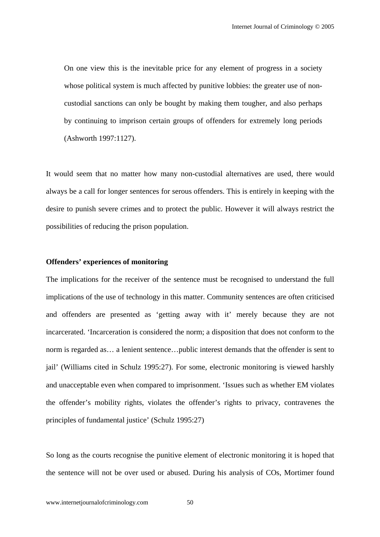On one view this is the inevitable price for any element of progress in a society whose political system is much affected by punitive lobbies: the greater use of noncustodial sanctions can only be bought by making them tougher, and also perhaps by continuing to imprison certain groups of offenders for extremely long periods (Ashworth 1997:1127).

It would seem that no matter how many non-custodial alternatives are used, there would always be a call for longer sentences for serous offenders. This is entirely in keeping with the desire to punish severe crimes and to protect the public. However it will always restrict the possibilities of reducing the prison population.

### **Offenders' experiences of monitoring**

The implications for the receiver of the sentence must be recognised to understand the full implications of the use of technology in this matter. Community sentences are often criticised and offenders are presented as 'getting away with it' merely because they are not incarcerated. 'Incarceration is considered the norm; a disposition that does not conform to the norm is regarded as… a lenient sentence…public interest demands that the offender is sent to jail' (Williams cited in Schulz 1995:27). For some, electronic monitoring is viewed harshly and unacceptable even when compared to imprisonment. 'Issues such as whether EM violates the offender's mobility rights, violates the offender's rights to privacy, contravenes the principles of fundamental justice' (Schulz 1995:27)

So long as the courts recognise the punitive element of electronic monitoring it is hoped that the sentence will not be over used or abused. During his analysis of COs, Mortimer found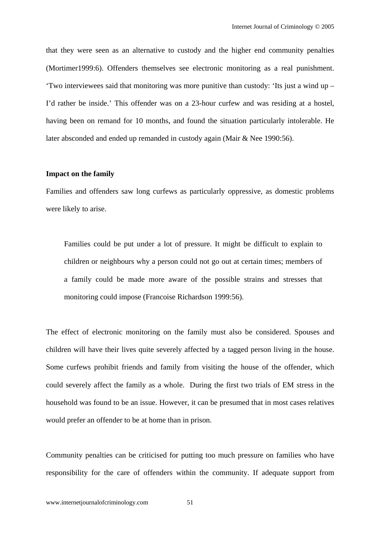that they were seen as an alternative to custody and the higher end community penalties (Mortimer1999:6). Offenders themselves see electronic monitoring as a real punishment. 'Two interviewees said that monitoring was more punitive than custody: 'Its just a wind up – I'd rather be inside.' This offender was on a 23-hour curfew and was residing at a hostel, having been on remand for 10 months, and found the situation particularly intolerable. He later absconded and ended up remanded in custody again (Mair & Nee 1990:56).

#### **Impact on the family**

Families and offenders saw long curfews as particularly oppressive, as domestic problems were likely to arise.

Families could be put under a lot of pressure. It might be difficult to explain to children or neighbours why a person could not go out at certain times; members of a family could be made more aware of the possible strains and stresses that monitoring could impose (Francoise Richardson 1999:56).

The effect of electronic monitoring on the family must also be considered. Spouses and children will have their lives quite severely affected by a tagged person living in the house. Some curfews prohibit friends and family from visiting the house of the offender, which could severely affect the family as a whole. During the first two trials of EM stress in the household was found to be an issue. However, it can be presumed that in most cases relatives would prefer an offender to be at home than in prison.

Community penalties can be criticised for putting too much pressure on families who have responsibility for the care of offenders within the community. If adequate support from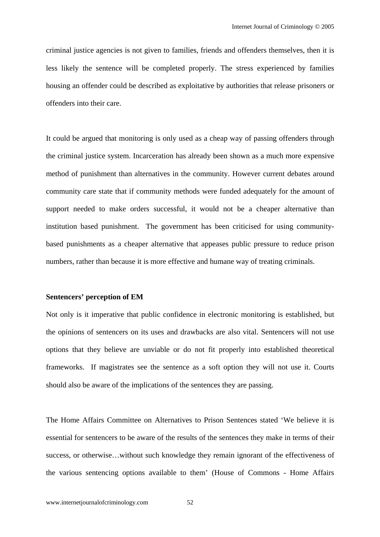criminal justice agencies is not given to families, friends and offenders themselves, then it is less likely the sentence will be completed properly. The stress experienced by families housing an offender could be described as exploitative by authorities that release prisoners or offenders into their care.

It could be argued that monitoring is only used as a cheap way of passing offenders through the criminal justice system. Incarceration has already been shown as a much more expensive method of punishment than alternatives in the community. However current debates around community care state that if community methods were funded adequately for the amount of support needed to make orders successful, it would not be a cheaper alternative than institution based punishment. The government has been criticised for using communitybased punishments as a cheaper alternative that appeases public pressure to reduce prison numbers, rather than because it is more effective and humane way of treating criminals.

#### **Sentencers' perception of EM**

Not only is it imperative that public confidence in electronic monitoring is established, but the opinions of sentencers on its uses and drawbacks are also vital. Sentencers will not use options that they believe are unviable or do not fit properly into established theoretical frameworks. If magistrates see the sentence as a soft option they will not use it. Courts should also be aware of the implications of the sentences they are passing.

The Home Affairs Committee on Alternatives to Prison Sentences stated 'We believe it is essential for sentencers to be aware of the results of the sentences they make in terms of their success, or otherwise…without such knowledge they remain ignorant of the effectiveness of the various sentencing options available to them' (House of Commons - Home Affairs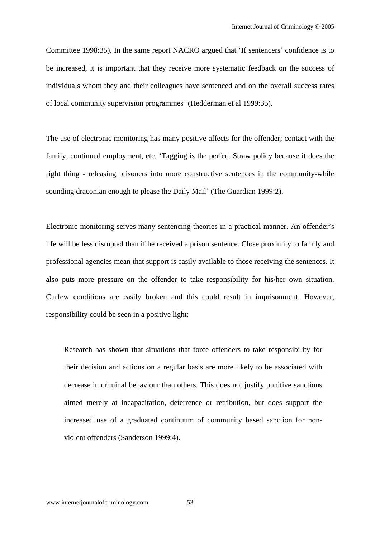Committee 1998:35). In the same report NACRO argued that 'If sentencers' confidence is to be increased, it is important that they receive more systematic feedback on the success of individuals whom they and their colleagues have sentenced and on the overall success rates of local community supervision programmes' (Hedderman et al 1999:35).

The use of electronic monitoring has many positive affects for the offender; contact with the family, continued employment, etc. 'Tagging is the perfect Straw policy because it does the right thing - releasing prisoners into more constructive sentences in the community-while sounding draconian enough to please the Daily Mail' (The Guardian 1999:2).

Electronic monitoring serves many sentencing theories in a practical manner. An offender's life will be less disrupted than if he received a prison sentence. Close proximity to family and professional agencies mean that support is easily available to those receiving the sentences. It also puts more pressure on the offender to take responsibility for his/her own situation. Curfew conditions are easily broken and this could result in imprisonment. However, responsibility could be seen in a positive light:

Research has shown that situations that force offenders to take responsibility for their decision and actions on a regular basis are more likely to be associated with decrease in criminal behaviour than others. This does not justify punitive sanctions aimed merely at incapacitation, deterrence or retribution, but does support the increased use of a graduated continuum of community based sanction for nonviolent offenders (Sanderson 1999:4).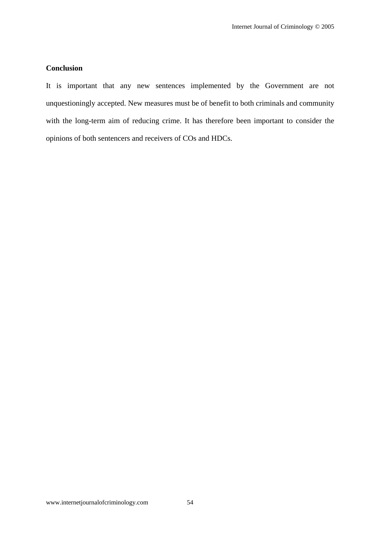## **Conclusion**

It is important that any new sentences implemented by the Government are not unquestioningly accepted. New measures must be of benefit to both criminals and community with the long-term aim of reducing crime. It has therefore been important to consider the opinions of both sentencers and receivers of COs and HDCs.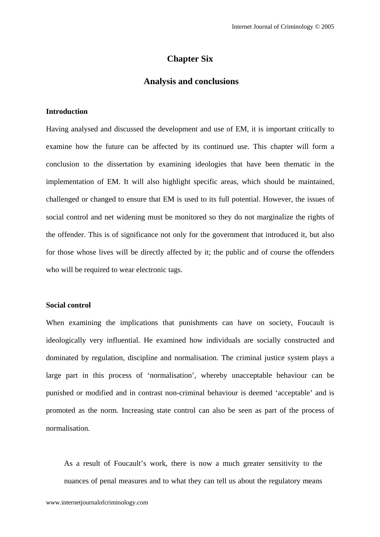## **Chapter Six**

## **Analysis and conclusions**

#### **Introduction**

Having analysed and discussed the development and use of EM, it is important critically to examine how the future can be affected by its continued use. This chapter will form a conclusion to the dissertation by examining ideologies that have been thematic in the implementation of EM. It will also highlight specific areas, which should be maintained, challenged or changed to ensure that EM is used to its full potential. However, the issues of social control and net widening must be monitored so they do not marginalize the rights of the offender. This is of significance not only for the government that introduced it, but also for those whose lives will be directly affected by it; the public and of course the offenders who will be required to wear electronic tags.

### **Social control**

When examining the implications that punishments can have on society, Foucault is ideologically very influential. He examined how individuals are socially constructed and dominated by regulation, discipline and normalisation. The criminal justice system plays a large part in this process of 'normalisation', whereby unacceptable behaviour can be punished or modified and in contrast non-criminal behaviour is deemed 'acceptable' and is promoted as the norm. Increasing state control can also be seen as part of the process of normalisation.

As a result of Foucault's work, there is now a much greater sensitivity to the nuances of penal measures and to what they can tell us about the regulatory means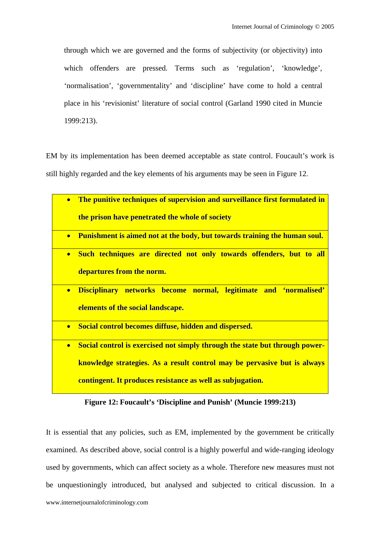through which we are governed and the forms of subjectivity (or objectivity) into which offenders are pressed. Terms such as 'regulation', 'knowledge', 'normalisation', 'governmentality' and 'discipline' have come to hold a central place in his 'revisionist' literature of social control (Garland 1990 cited in Muncie 1999:213).

EM by its implementation has been deemed acceptable as state control. Foucault's work is still highly regarded and the key elements of his arguments may be seen in Figure 12.

| $\bullet$                         | The punitive techniques of supervision and surveillance first formulated in      |
|-----------------------------------|----------------------------------------------------------------------------------|
|                                   | the prison have penetrated the whole of society                                  |
| $\bullet$                         | <b>Punishment is aimed not at the body, but towards training the human soul.</b> |
| $\bullet$                         | Such techniques are directed not only towards offenders, but to all              |
| departures from the norm.         |                                                                                  |
| $\bullet$                         | Disciplinary networks become normal, legitimate and 'normalised'                 |
| elements of the social landscape. |                                                                                  |
| $\bullet$                         | Social control becomes diffuse, hidden and dispersed.                            |
| $\bullet$                         | Social control is exercised not simply through the state but through power-      |
|                                   | knowledge strategies. As a result control may be pervasive but is always         |
|                                   | contingent. It produces resistance as well as subjugation.                       |

**Figure 12: Foucault's 'Discipline and Punish' (Muncie 1999:213)** 

www.internetjournalofcriminology.com It is essential that any policies, such as EM, implemented by the government be critically examined. As described above, social control is a highly powerful and wide-ranging ideology used by governments, which can affect society as a whole. Therefore new measures must not be unquestioningly introduced, but analysed and subjected to critical discussion. In a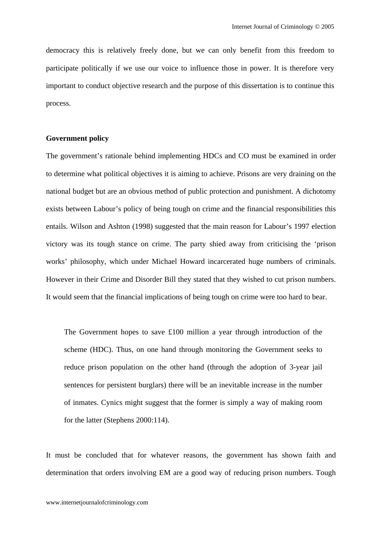democracy this is relatively freely done, but we can only benefit from this freedom to participate politically if we use our voice to influence those in power. It is therefore very important to conduct objective research and the purpose of this dissertation is to continue this process.

### **Government policy**

The government's rationale behind implementing HDCs and CO must be examined in order to determine what political objectives it is aiming to achieve. Prisons are very draining on the national budget but are an obvious method of public protection and punishment. A dichotomy exists between Labour's policy of being tough on crime and the financial responsibilities this entails. Wilson and Ashton (1998) suggested that the main reason for Labour's 1997 election victory was its tough stance on crime. The party shied away from criticising the 'prison works' philosophy, which under Michael Howard incarcerated huge numbers of criminals. However in their Crime and Disorder Bill they stated that they wished to cut prison numbers. It would seem that the financial implications of being tough on crime were too hard to bear.

The Government hopes to save £100 million a year through introduction of the scheme (HDC). Thus, on one hand through monitoring the Government seeks to reduce prison population on the other hand (through the adoption of 3-year jail sentences for persistent burglars) there will be an inevitable increase in the number of inmates. Cynics might suggest that the former is simply a way of making room for the latter (Stephens 2000:114).

It must be concluded that for whatever reasons, the government has shown faith and determination that orders involving EM are a good way of reducing prison numbers. Tough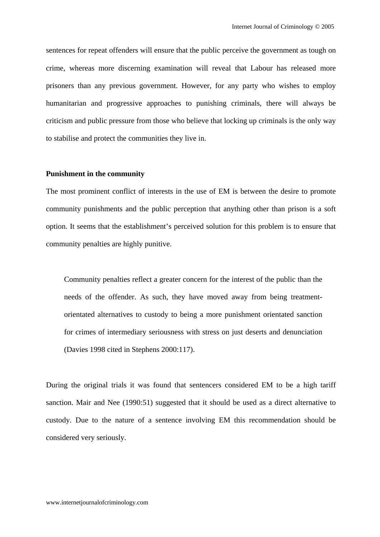sentences for repeat offenders will ensure that the public perceive the government as tough on crime, whereas more discerning examination will reveal that Labour has released more prisoners than any previous government. However, for any party who wishes to employ humanitarian and progressive approaches to punishing criminals, there will always be criticism and public pressure from those who believe that locking up criminals is the only way to stabilise and protect the communities they live in.

#### **Punishment in the community**

The most prominent conflict of interests in the use of EM is between the desire to promote community punishments and the public perception that anything other than prison is a soft option. It seems that the establishment's perceived solution for this problem is to ensure that community penalties are highly punitive.

Community penalties reflect a greater concern for the interest of the public than the needs of the offender. As such, they have moved away from being treatmentorientated alternatives to custody to being a more punishment orientated sanction for crimes of intermediary seriousness with stress on just deserts and denunciation (Davies 1998 cited in Stephens 2000:117).

During the original trials it was found that sentencers considered EM to be a high tariff sanction. Mair and Nee (1990:51) suggested that it should be used as a direct alternative to custody. Due to the nature of a sentence involving EM this recommendation should be considered very seriously.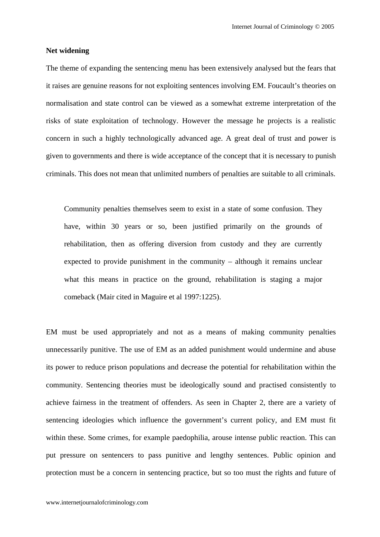#### **Net widening**

The theme of expanding the sentencing menu has been extensively analysed but the fears that it raises are genuine reasons for not exploiting sentences involving EM. Foucault's theories on normalisation and state control can be viewed as a somewhat extreme interpretation of the risks of state exploitation of technology. However the message he projects is a realistic concern in such a highly technologically advanced age. A great deal of trust and power is given to governments and there is wide acceptance of the concept that it is necessary to punish criminals. This does not mean that unlimited numbers of penalties are suitable to all criminals.

Community penalties themselves seem to exist in a state of some confusion. They have, within 30 years or so, been justified primarily on the grounds of rehabilitation, then as offering diversion from custody and they are currently expected to provide punishment in the community – although it remains unclear what this means in practice on the ground, rehabilitation is staging a major comeback (Mair cited in Maguire et al 1997:1225).

EM must be used appropriately and not as a means of making community penalties unnecessarily punitive. The use of EM as an added punishment would undermine and abuse its power to reduce prison populations and decrease the potential for rehabilitation within the community. Sentencing theories must be ideologically sound and practised consistently to achieve fairness in the treatment of offenders. As seen in Chapter 2, there are a variety of sentencing ideologies which influence the government's current policy, and EM must fit within these. Some crimes, for example paedophilia, arouse intense public reaction. This can put pressure on sentencers to pass punitive and lengthy sentences. Public opinion and protection must be a concern in sentencing practice, but so too must the rights and future of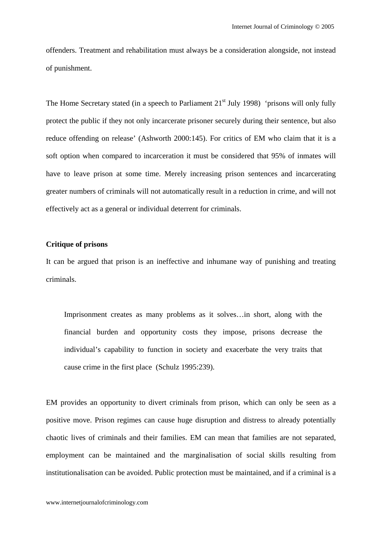offenders. Treatment and rehabilitation must always be a consideration alongside, not instead of punishment.

The Home Secretary stated (in a speech to Parliament  $21<sup>st</sup>$  July 1998) 'prisons will only fully protect the public if they not only incarcerate prisoner securely during their sentence, but also reduce offending on release' (Ashworth 2000:145). For critics of EM who claim that it is a soft option when compared to incarceration it must be considered that 95% of inmates will have to leave prison at some time. Merely increasing prison sentences and incarcerating greater numbers of criminals will not automatically result in a reduction in crime, and will not effectively act as a general or individual deterrent for criminals.

## **Critique of prisons**

It can be argued that prison is an ineffective and inhumane way of punishing and treating criminals.

Imprisonment creates as many problems as it solves…in short, along with the financial burden and opportunity costs they impose, prisons decrease the individual's capability to function in society and exacerbate the very traits that cause crime in the first place (Schulz 1995:239).

EM provides an opportunity to divert criminals from prison, which can only be seen as a positive move. Prison regimes can cause huge disruption and distress to already potentially chaotic lives of criminals and their families. EM can mean that families are not separated, employment can be maintained and the marginalisation of social skills resulting from institutionalisation can be avoided. Public protection must be maintained, and if a criminal is a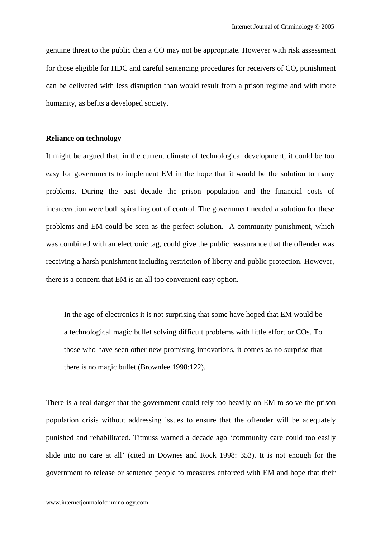genuine threat to the public then a CO may not be appropriate. However with risk assessment for those eligible for HDC and careful sentencing procedures for receivers of CO, punishment can be delivered with less disruption than would result from a prison regime and with more humanity, as befits a developed society.

### **Reliance on technology**

It might be argued that, in the current climate of technological development, it could be too easy for governments to implement EM in the hope that it would be the solution to many problems. During the past decade the prison population and the financial costs of incarceration were both spiralling out of control. The government needed a solution for these problems and EM could be seen as the perfect solution. A community punishment, which was combined with an electronic tag, could give the public reassurance that the offender was receiving a harsh punishment including restriction of liberty and public protection. However, there is a concern that EM is an all too convenient easy option.

In the age of electronics it is not surprising that some have hoped that EM would be a technological magic bullet solving difficult problems with little effort or COs. To those who have seen other new promising innovations, it comes as no surprise that there is no magic bullet (Brownlee 1998:122).

There is a real danger that the government could rely too heavily on EM to solve the prison population crisis without addressing issues to ensure that the offender will be adequately punished and rehabilitated. Titmuss warned a decade ago 'community care could too easily slide into no care at all' (cited in Downes and Rock 1998: 353). It is not enough for the government to release or sentence people to measures enforced with EM and hope that their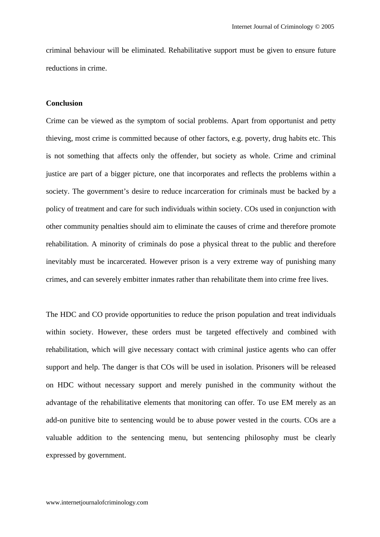criminal behaviour will be eliminated. Rehabilitative support must be given to ensure future reductions in crime.

### **Conclusion**

Crime can be viewed as the symptom of social problems. Apart from opportunist and petty thieving, most crime is committed because of other factors, e.g. poverty, drug habits etc. This is not something that affects only the offender, but society as whole. Crime and criminal justice are part of a bigger picture, one that incorporates and reflects the problems within a society. The government's desire to reduce incarceration for criminals must be backed by a policy of treatment and care for such individuals within society. COs used in conjunction with other community penalties should aim to eliminate the causes of crime and therefore promote rehabilitation. A minority of criminals do pose a physical threat to the public and therefore inevitably must be incarcerated. However prison is a very extreme way of punishing many crimes, and can severely embitter inmates rather than rehabilitate them into crime free lives.

The HDC and CO provide opportunities to reduce the prison population and treat individuals within society. However, these orders must be targeted effectively and combined with rehabilitation, which will give necessary contact with criminal justice agents who can offer support and help. The danger is that COs will be used in isolation. Prisoners will be released on HDC without necessary support and merely punished in the community without the advantage of the rehabilitative elements that monitoring can offer. To use EM merely as an add-on punitive bite to sentencing would be to abuse power vested in the courts. COs are a valuable addition to the sentencing menu, but sentencing philosophy must be clearly expressed by government.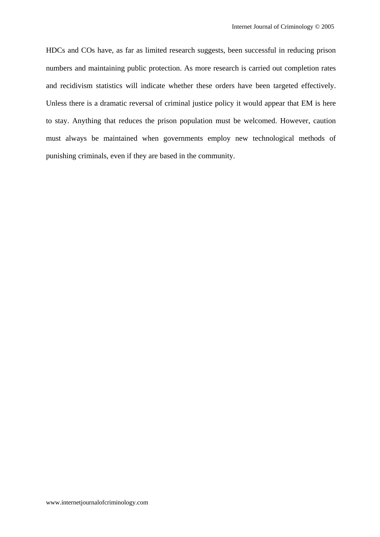HDCs and COs have, as far as limited research suggests, been successful in reducing prison numbers and maintaining public protection. As more research is carried out completion rates and recidivism statistics will indicate whether these orders have been targeted effectively. Unless there is a dramatic reversal of criminal justice policy it would appear that EM is here to stay. Anything that reduces the prison population must be welcomed. However, caution must always be maintained when governments employ new technological methods of punishing criminals, even if they are based in the community.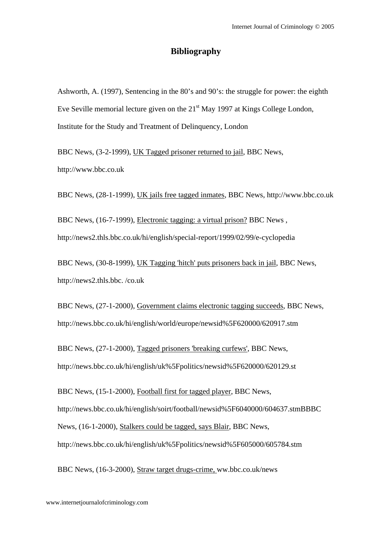# **Bibliography**

Ashworth, A. (1997), Sentencing in the 80's and 90's: the struggle for power: the eighth Eve Seville memorial lecture given on the  $21<sup>st</sup>$  May 1997 at Kings College London, Institute for the Study and Treatment of Delinquency, London

BBC News, (3-2-1999), UK Tagged prisoner returned to jail, BBC News, http://www.bbc.co.uk

BBC News, (28-1-1999), UK jails free tagged inmates, BBC News, http://www.bbc.co.uk

BBC News, (16-7-1999), Electronic tagging: a virtual prison? BBC News , http://news2.thls.bbc.co.uk/hi/english/special-report/1999/02/99/e-cyclopedia

BBC News, (30-8-1999), UK Tagging 'hitch' puts prisoners back in jail, BBC News, http://news2.thls.bbc. /co.uk

BBC News, (27-1-2000), Government claims electronic tagging succeeds, BBC News, http://news.bbc.co.uk/hi/english/world/europe/newsid%5F620000/620917.stm

BBC News, (27-1-2000), Tagged prisoners 'breaking curfews', BBC News, http://news.bbc.co.uk/hi/english/uk%5Fpolitics/newsid%5F620000/620129.st

BBC News, (15-1-2000), Football first for tagged player, BBC News, http://news.bbc.co.uk/hi/english/soirt/football/newsid%5F6040000/604637.stmBBBC News, (16-1-2000), Stalkers could be tagged, says Blair, BBC News, http://news.bbc.co.uk/hi/english/uk%5Fpolitics/newsid%5F605000/605784.stm

BBC News, (16-3-2000), Straw target drugs-crime, ww.bbc.co.uk/news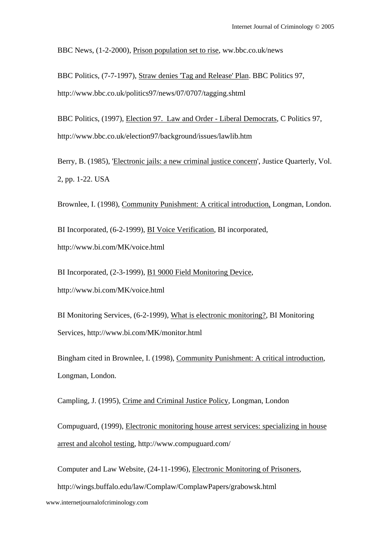BBC News, (1-2-2000), Prison population set to rise, ww.bbc.co.uk/news

BBC Politics, (7-7-1997), Straw denies 'Tag and Release' Plan. BBC Politics 97, http://www.bbc.co.uk/politics97/news/07/0707/tagging.shtml

BBC Politics, (1997), Election 97. Law and Order - Liberal Democrats, C Politics 97, http://www.bbc.co.uk/election97/background/issues/lawlib.htm

Berry, B. (1985), 'Electronic jails: a new criminal justice concern', Justice Quarterly, Vol. 2, pp. 1-22. USA

Brownlee, I. (1998), Community Punishment: A critical introduction, Longman, London.

BI Incorporated, (6-2-1999), BI Voice Verification, BI incorporated, http://www.bi.com/MK/voice.html

BI Incorporated, (2-3-1999), B1 9000 Field Monitoring Device, http://www.bi.com/MK/voice.html

BI Monitoring Services, (6-2-1999), What is electronic monitoring?, BI Monitoring Services, http://www.bi.com/MK/monitor.html

Bingham cited in Brownlee, I. (1998), Community Punishment: A critical introduction, Longman, London.

Campling, J. (1995), Crime and Criminal Justice Policy, Longman, London

Compuguard, (1999), Electronic monitoring house arrest services: specializing in house arrest and alcohol testing, http://www.compuguard.com/

Computer and Law Website, (24-11-1996), Electronic Monitoring of Prisoners,

http://wings.buffalo.edu/law/Complaw/ComplawPapers/grabowsk.html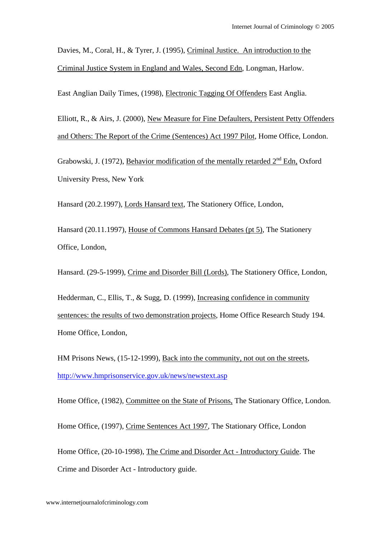Davies, M., Coral, H., & Tyrer, J. (1995), Criminal Justice. An introduction to the Criminal Justice System in England and Wales, Second Edn, Longman, Harlow.

East Anglian Daily Times, (1998), Electronic Tagging Of Offenders East Anglia.

Elliott, R., & Airs, J. (2000), New Measure for Fine Defaulters, Persistent Petty Offenders and Others: The Report of the Crime (Sentences) Act 1997 Pilot, Home Office, London.

Grabowski, J. (1972), Behavior modification of the mentally retarded  $2<sup>nd</sup>$  Edn. Oxford University Press, New York

Hansard (20.2.1997), Lords Hansard text, The Stationery Office, London,

Hansard (20.11.1997), House of Commons Hansard Debates (pt 5), The Stationery Office, London,

Hansard. (29-5-1999), Crime and Disorder Bill (Lords), The Stationery Office, London,

Hedderman, C., Ellis, T., & Sugg, D. (1999), Increasing confidence in community sentences: the results of two demonstration projects, Home Office Research Study 194. Home Office, London,

HM Prisons News, (15-12-1999), Back into the community, not out on the streets, http://www.hmprisonservice.gov.uk/news/newstext.asp

Home Office, (1982), Committee on the State of Prisons, The Stationary Office, London.

Home Office, (1997), Crime Sentences Act 1997, The Stationary Office, London

Home Office, (20-10-1998), The Crime and Disorder Act - Introductory Guide. The Crime and Disorder Act - Introductory guide.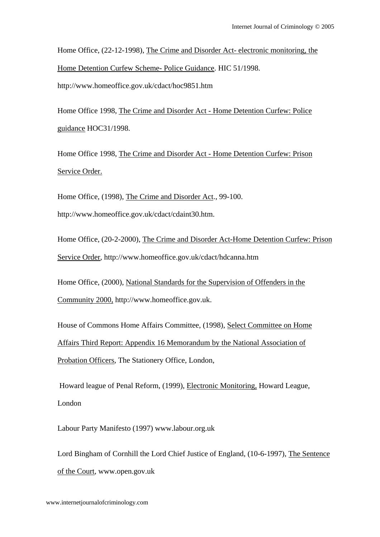Home Office, (22-12-1998), The Crime and Disorder Act- electronic monitoring, the Home Detention Curfew Scheme- Police Guidance. HIC 51/1998. http://www.homeoffice.gov.uk/cdact/hoc9851.htm

Home Office 1998, The Crime and Disorder Act - Home Detention Curfew: Police guidance HOC31/1998.

Home Office 1998, The Crime and Disorder Act - Home Detention Curfew: Prison Service Order.

Home Office, (1998), The Crime and Disorder Act., 99-100. http://www.homeoffice.gov.uk/cdact/cdaint30.htm.

Home Office, (20-2-2000), The Crime and Disorder Act-Home Detention Curfew: Prison Service Order, http://www.homeoffice.gov.uk/cdact/hdcanna.htm

Home Office, (2000), National Standards for the Supervision of Offenders in the Community 2000, http://www.homeoffice.gov.uk.

House of Commons Home Affairs Committee, (1998), Select Committee on Home Affairs Third Report: Appendix 16 Memorandum by the National Association of Probation Officers, The Stationery Office, London,

 Howard league of Penal Reform, (1999), Electronic Monitoring, Howard League, London

Labour Party Manifesto (1997) www.labour.org.uk

Lord Bingham of Cornhill the Lord Chief Justice of England, (10-6-1997), The Sentence of the Court, www.open.gov.uk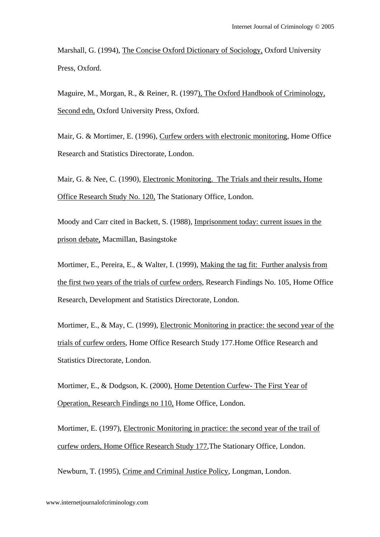Marshall, G. (1994), The Concise Oxford Dictionary of Sociology, Oxford University Press, Oxford.

Maguire, M., Morgan, R., & Reiner, R. (1997), The Oxford Handbook of Criminology, Second edn, Oxford University Press, Oxford.

Mair, G. & Mortimer, E. (1996), Curfew orders with electronic monitoring, Home Office Research and Statistics Directorate, London.

Mair, G. & Nee, C. (1990), Electronic Monitoring. The Trials and their results, Home Office Research Study No. 120, The Stationary Office, London.

Moody and Carr cited in Backett, S. (1988), Imprisonment today: current issues in the prison debate, Macmillan, Basingstoke

Mortimer, E., Pereira, E., & Walter, I. (1999), Making the tag fit: Further analysis from the first two years of the trials of curfew orders, Research Findings No. 105, Home Office Research, Development and Statistics Directorate, London.

Mortimer, E., & May, C. (1999), Electronic Monitoring in practice: the second year of the trials of curfew orders, Home Office Research Study 177.Home Office Research and Statistics Directorate, London.

Mortimer, E., & Dodgson, K. (2000), Home Detention Curfew- The First Year of Operation, Research Findings no 110, Home Office, London.

Mortimer, E. (1997), Electronic Monitoring in practice: the second year of the trail of curfew orders, Home Office Research Study 177,The Stationary Office, London.

Newburn, T. (1995), Crime and Criminal Justice Policy, Longman, London.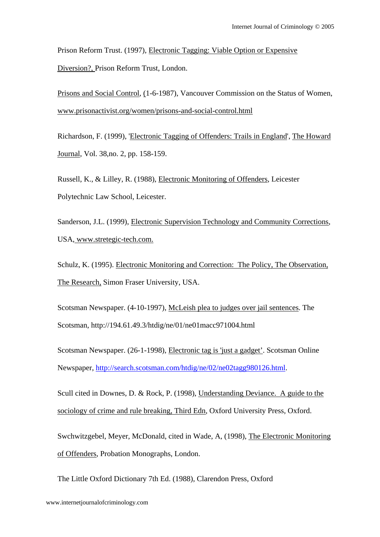Prison Reform Trust. (1997), Electronic Tagging: Viable Option or Expensive Diversion?, Prison Reform Trust, London.

Prisons and Social Control, (1-6-1987), Vancouver Commission on the Status of Women, www.prisonactivist.org/women/prisons-and-social-control.html

Richardson, F. (1999), 'Electronic Tagging of Offenders: Trails in England', The Howard Journal, Vol. 38,no. 2, pp. 158-159.

Russell, K., & Lilley, R. (1988), Electronic Monitoring of Offenders, Leicester Polytechnic Law School, Leicester.

Sanderson, J.L. (1999), Electronic Supervision Technology and Community Corrections, USA, www.stretegic-tech.com.

Schulz, K. (1995). Electronic Monitoring and Correction: The Policy, The Observation, The Research, Simon Fraser University, USA.

Scotsman Newspaper. (4-10-1997), McLeish plea to judges over jail sentences. The Scotsman, http://194.61.49.3/htdig/ne/01/ne01macc971004.html

Scotsman Newspaper. (26-1-1998), Electronic tag is 'just a gadget'. Scotsman Online Newspaper, http://search.scotsman.com/htdig/ne/02/ne02tagg980126.html.

Scull cited in Downes, D. & Rock, P. (1998), Understanding Deviance. A guide to the sociology of crime and rule breaking, Third Edn, Oxford University Press, Oxford.

Swchwitzgebel, Meyer, McDonald, cited in Wade, A, (1998), The Electronic Monitoring of Offenders, Probation Monographs, London.

The Little Oxford Dictionary 7th Ed. (1988), Clarendon Press, Oxford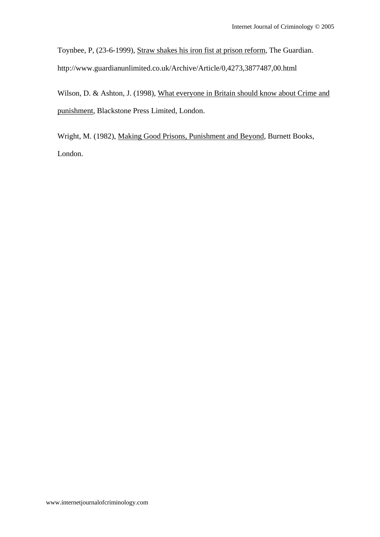Toynbee, P, (23-6-1999), Straw shakes his iron fist at prison reform, The Guardian. http://www.guardianunlimited.co.uk/Archive/Article/0,4273,3877487,00.html

Wilson, D. & Ashton, J. (1998), What everyone in Britain should know about Crime and punishment, Blackstone Press Limited, London.

Wright, M. (1982), Making Good Prisons, Punishment and Beyond, Burnett Books, London.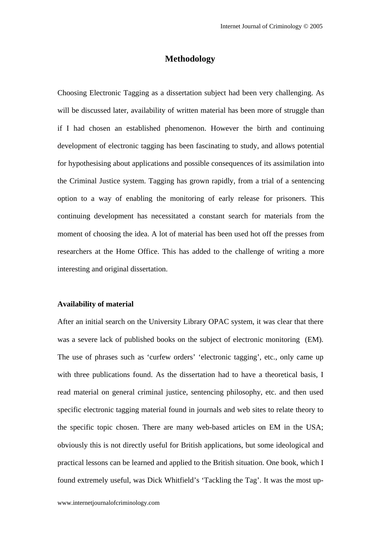# **Methodology**

Choosing Electronic Tagging as a dissertation subject had been very challenging. As will be discussed later, availability of written material has been more of struggle than if I had chosen an established phenomenon. However the birth and continuing development of electronic tagging has been fascinating to study, and allows potential for hypothesising about applications and possible consequences of its assimilation into the Criminal Justice system. Tagging has grown rapidly, from a trial of a sentencing option to a way of enabling the monitoring of early release for prisoners. This continuing development has necessitated a constant search for materials from the moment of choosing the idea. A lot of material has been used hot off the presses from researchers at the Home Office. This has added to the challenge of writing a more interesting and original dissertation.

## **Availability of material**

After an initial search on the University Library OPAC system, it was clear that there was a severe lack of published books on the subject of electronic monitoring (EM). The use of phrases such as 'curfew orders' 'electronic tagging', etc., only came up with three publications found. As the dissertation had to have a theoretical basis, I read material on general criminal justice, sentencing philosophy, etc. and then used specific electronic tagging material found in journals and web sites to relate theory to the specific topic chosen. There are many web-based articles on EM in the USA; obviously this is not directly useful for British applications, but some ideological and practical lessons can be learned and applied to the British situation. One book, which I found extremely useful, was Dick Whitfield's 'Tackling the Tag'. It was the most up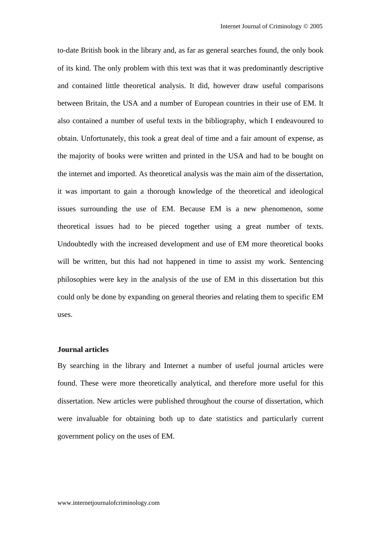to-date British book in the library and, as far as general searches found, the only book of its kind. The only problem with this text was that it was predominantly descriptive and contained little theoretical analysis. It did, however draw useful comparisons between Britain, the USA and a number of European countries in their use of EM. It also contained a number of useful texts in the bibliography, which I endeavoured to obtain. Unfortunately, this took a great deal of time and a fair amount of expense, as the majority of books were written and printed in the USA and had to be bought on the internet and imported. As theoretical analysis was the main aim of the dissertation, it was important to gain a thorough knowledge of the theoretical and ideological issues surrounding the use of EM. Because EM is a new phenomenon, some theoretical issues had to be pieced together using a great number of texts. Undoubtedly with the increased development and use of EM more theoretical books will be written, but this had not happened in time to assist my work. Sentencing philosophies were key in the analysis of the use of EM in this dissertation but this could only be done by expanding on general theories and relating them to specific EM uses.

#### **Journal articles**

By searching in the library and Internet a number of useful journal articles were found. These were more theoretically analytical, and therefore more useful for this dissertation. New articles were published throughout the course of dissertation, which were invaluable for obtaining both up to date statistics and particularly current government policy on the uses of EM.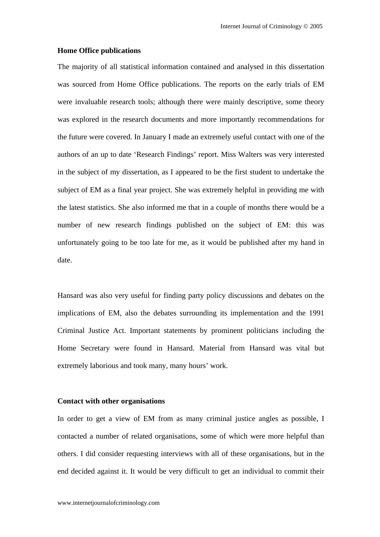#### **Home Office publications**

The majority of all statistical information contained and analysed in this dissertation was sourced from Home Office publications. The reports on the early trials of EM were invaluable research tools; although there were mainly descriptive, some theory was explored in the research documents and more importantly recommendations for the future were covered. In January I made an extremely useful contact with one of the authors of an up to date 'Research Findings' report. Miss Walters was very interested in the subject of my dissertation, as I appeared to be the first student to undertake the subject of EM as a final year project. She was extremely helpful in providing me with the latest statistics. She also informed me that in a couple of months there would be a number of new research findings published on the subject of EM: this was unfortunately going to be too late for me, as it would be published after my hand in date.

Hansard was also very useful for finding party policy discussions and debates on the implications of EM, also the debates surrounding its implementation and the 1991 Criminal Justice Act. Important statements by prominent politicians including the Home Secretary were found in Hansard. Material from Hansard was vital but extremely laborious and took many, many hours' work.

#### **Contact with other organisations**

In order to get a view of EM from as many criminal justice angles as possible, I contacted a number of related organisations, some of which were more helpful than others. I did consider requesting interviews with all of these organisations, but in the end decided against it. It would be very difficult to get an individual to commit their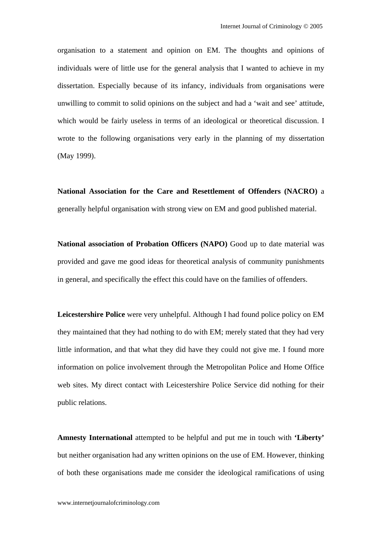organisation to a statement and opinion on EM. The thoughts and opinions of individuals were of little use for the general analysis that I wanted to achieve in my dissertation. Especially because of its infancy, individuals from organisations were unwilling to commit to solid opinions on the subject and had a 'wait and see' attitude, which would be fairly useless in terms of an ideological or theoretical discussion. I wrote to the following organisations very early in the planning of my dissertation (May 1999).

**National Association for the Care and Resettlement of Offenders (NACRO)** a generally helpful organisation with strong view on EM and good published material.

**National association of Probation Officers (NAPO)** Good up to date material was provided and gave me good ideas for theoretical analysis of community punishments in general, and specifically the effect this could have on the families of offenders.

**Leicestershire Police** were very unhelpful. Although I had found police policy on EM they maintained that they had nothing to do with EM; merely stated that they had very little information, and that what they did have they could not give me. I found more information on police involvement through the Metropolitan Police and Home Office web sites. My direct contact with Leicestershire Police Service did nothing for their public relations.

**Amnesty International** attempted to be helpful and put me in touch with **'Liberty'** but neither organisation had any written opinions on the use of EM. However, thinking of both these organisations made me consider the ideological ramifications of using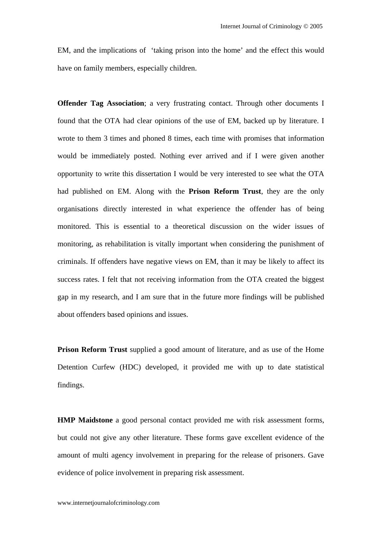EM, and the implications of 'taking prison into the home' and the effect this would have on family members, especially children.

**Offender Tag Association**; a very frustrating contact. Through other documents I found that the OTA had clear opinions of the use of EM, backed up by literature. I wrote to them 3 times and phoned 8 times, each time with promises that information would be immediately posted. Nothing ever arrived and if I were given another opportunity to write this dissertation I would be very interested to see what the OTA had published on EM. Along with the **Prison Reform Trust**, they are the only organisations directly interested in what experience the offender has of being monitored. This is essential to a theoretical discussion on the wider issues of monitoring, as rehabilitation is vitally important when considering the punishment of criminals. If offenders have negative views on EM, than it may be likely to affect its success rates. I felt that not receiving information from the OTA created the biggest gap in my research, and I am sure that in the future more findings will be published about offenders based opinions and issues.

**Prison Reform Trust** supplied a good amount of literature, and as use of the Home Detention Curfew (HDC) developed, it provided me with up to date statistical findings.

**HMP Maidstone** a good personal contact provided me with risk assessment forms, but could not give any other literature. These forms gave excellent evidence of the amount of multi agency involvement in preparing for the release of prisoners. Gave evidence of police involvement in preparing risk assessment.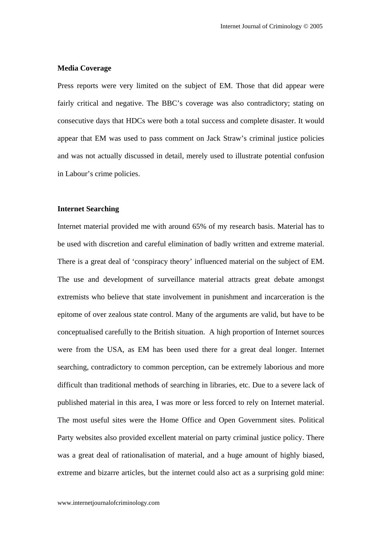#### **Media Coverage**

Press reports were very limited on the subject of EM. Those that did appear were fairly critical and negative. The BBC's coverage was also contradictory; stating on consecutive days that HDCs were both a total success and complete disaster. It would appear that EM was used to pass comment on Jack Straw's criminal justice policies and was not actually discussed in detail, merely used to illustrate potential confusion in Labour's crime policies.

#### **Internet Searching**

Internet material provided me with around 65% of my research basis. Material has to be used with discretion and careful elimination of badly written and extreme material. There is a great deal of 'conspiracy theory' influenced material on the subject of EM. The use and development of surveillance material attracts great debate amongst extremists who believe that state involvement in punishment and incarceration is the epitome of over zealous state control. Many of the arguments are valid, but have to be conceptualised carefully to the British situation. A high proportion of Internet sources were from the USA, as EM has been used there for a great deal longer. Internet searching, contradictory to common perception, can be extremely laborious and more difficult than traditional methods of searching in libraries, etc. Due to a severe lack of published material in this area, I was more or less forced to rely on Internet material. The most useful sites were the Home Office and Open Government sites. Political Party websites also provided excellent material on party criminal justice policy. There was a great deal of rationalisation of material, and a huge amount of highly biased, extreme and bizarre articles, but the internet could also act as a surprising gold mine: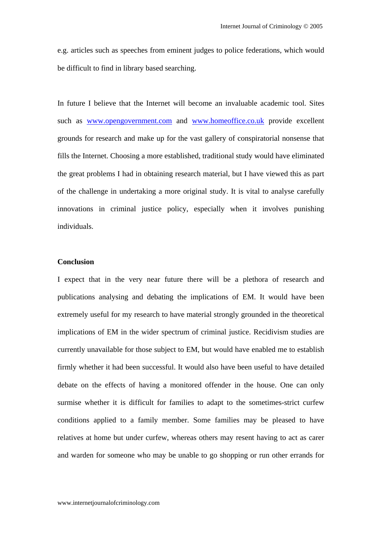e.g. articles such as speeches from eminent judges to police federations, which would be difficult to find in library based searching.

In future I believe that the Internet will become an invaluable academic tool. Sites such as www.opengovernment.com and www.homeoffice.co.uk provide excellent grounds for research and make up for the vast gallery of conspiratorial nonsense that fills the Internet. Choosing a more established, traditional study would have eliminated the great problems I had in obtaining research material, but I have viewed this as part of the challenge in undertaking a more original study. It is vital to analyse carefully innovations in criminal justice policy, especially when it involves punishing individuals.

## **Conclusion**

I expect that in the very near future there will be a plethora of research and publications analysing and debating the implications of EM. It would have been extremely useful for my research to have material strongly grounded in the theoretical implications of EM in the wider spectrum of criminal justice. Recidivism studies are currently unavailable for those subject to EM, but would have enabled me to establish firmly whether it had been successful. It would also have been useful to have detailed debate on the effects of having a monitored offender in the house. One can only surmise whether it is difficult for families to adapt to the sometimes-strict curfew conditions applied to a family member. Some families may be pleased to have relatives at home but under curfew, whereas others may resent having to act as carer and warden for someone who may be unable to go shopping or run other errands for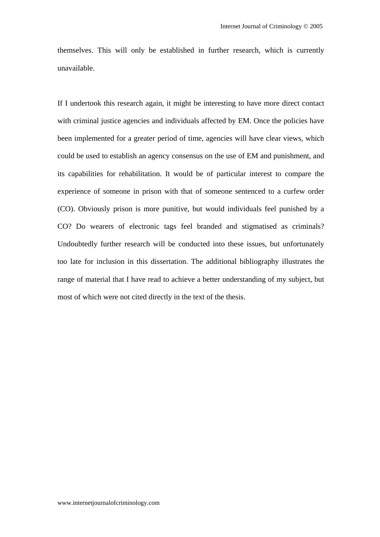themselves. This will only be established in further research, which is currently unavailable.

If I undertook this research again, it might be interesting to have more direct contact with criminal justice agencies and individuals affected by EM. Once the policies have been implemented for a greater period of time, agencies will have clear views, which could be used to establish an agency consensus on the use of EM and punishment, and its capabilities for rehabilitation. It would be of particular interest to compare the experience of someone in prison with that of someone sentenced to a curfew order (CO). Obviously prison is more punitive, but would individuals feel punished by a CO? Do wearers of electronic tags feel branded and stigmatised as criminals? Undoubtedly further research will be conducted into these issues, but unfortunately too late for inclusion in this dissertation. The additional bibliography illustrates the range of material that I have read to achieve a better understanding of my subject, but most of which were not cited directly in the text of the thesis.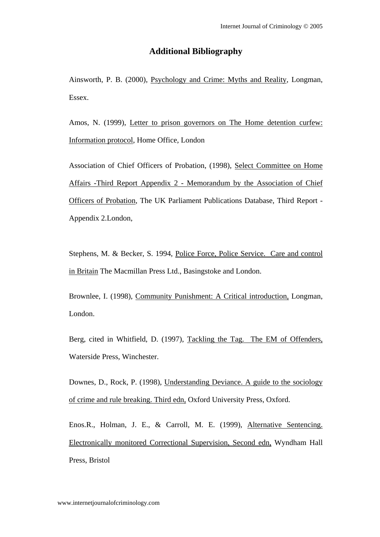## **Additional Bibliography**

Ainsworth, P. B. (2000), Psychology and Crime: Myths and Reality, Longman, Essex.

Amos, N. (1999), Letter to prison governors on The Home detention curfew: Information protocol, Home Office, London

Association of Chief Officers of Probation, (1998), Select Committee on Home Affairs -Third Report Appendix 2 - Memorandum by the Association of Chief Officers of Probation, The UK Parliament Publications Database, Third Report - Appendix 2.London,

Stephens, M. & Becker, S. 1994, Police Force, Police Service. Care and control in Britain The Macmillan Press Ltd., Basingstoke and London.

Brownlee, I. (1998), Community Punishment: A Critical introduction, Longman, London.

Berg, cited in Whitfield, D. (1997), Tackling the Tag. The EM of Offenders, Waterside Press, Winchester.

Downes, D., Rock, P. (1998), Understanding Deviance. A guide to the sociology of crime and rule breaking. Third edn, Oxford University Press, Oxford.

Enos.R., Holman, J. E., & Carroll, M. E. (1999), Alternative Sentencing. Electronically monitored Correctional Supervision, Second edn, Wyndham Hall Press, Bristol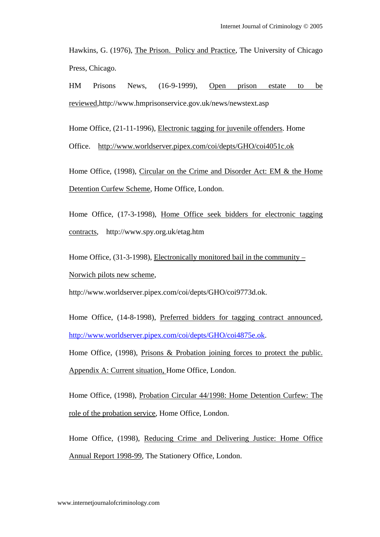Hawkins, G. (1976), The Prison. Policy and Practice, The University of Chicago Press, Chicago.

HM Prisons News, (16-9-1999), Open prison estate to be reviewed,http://www.hmprisonservice.gov.uk/news/newstext.asp

Home Office, (21-11-1996), Electronic tagging for juvenile offenders. Home

Office. http://www.worldserver.pipex.com/coi/depts/GHO/coi4051c.ok

Home Office, (1998), Circular on the Crime and Disorder Act: EM & the Home Detention Curfew Scheme, Home Office, London.

Home Office, (17-3-1998), Home Office seek bidders for electronic tagging contracts, http://www.spy.org.uk/etag.htm

Home Office, (31-3-1998), Electronically monitored bail in the community – Norwich pilots new scheme,

http://www.worldserver.pipex.com/coi/depts/GHO/coi9773d.ok.

Home Office, (14-8-1998), Preferred bidders for tagging contract announced, http://www.worldserver.pipex.com/coi/depts/GHO/coi4875e.ok.

Home Office, (1998), Prisons & Probation joining forces to protect the public. Appendix A: Current situation, Home Office, London.

Home Office, (1998), Probation Circular 44/1998: Home Detention Curfew: The role of the probation service, Home Office, London.

Home Office, (1998), Reducing Crime and Delivering Justice: Home Office Annual Report 1998-99, The Stationery Office, London.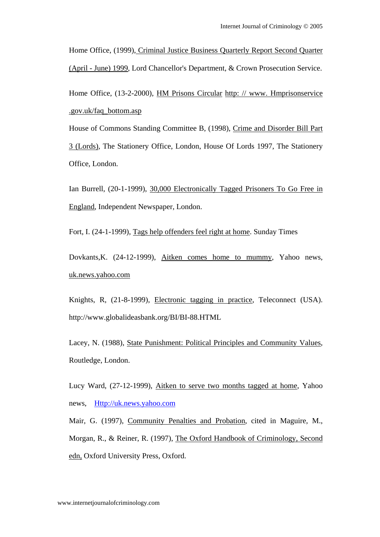Home Office, (1999), Criminal Justice Business Quarterly Report Second Quarter (April - June) 1999, Lord Chancellor's Department, & Crown Prosecution Service.

Home Office, (13-2-2000), HM Prisons Circular http: // www. Hmprisonservice .gov.uk/faq\_bottom.asp

House of Commons Standing Committee B, (1998), Crime and Disorder Bill Part 3 (Lords), The Stationery Office, London, House Of Lords 1997, The Stationery Office, London.

Ian Burrell, (20-1-1999), 30,000 Electronically Tagged Prisoners To Go Free in England, Independent Newspaper, London.

Fort, I. (24-1-1999), Tags help offenders feel right at home. Sunday Times

Dovkants,K. (24-12-1999), Aitken comes home to mummy, Yahoo news, uk.news.yahoo.com

Knights, R, (21-8-1999), Electronic tagging in practice, Teleconnect (USA). http://www.globalideasbank.org/BI/BI-88.HTML

Lacey, N. (1988), State Punishment: Political Principles and Community Values, Routledge, London.

Lucy Ward, (27-12-1999), Aitken to serve two months tagged at home, Yahoo news, Http://uk.news.yahoo.com

Mair, G. (1997), Community Penalties and Probation, cited in Maguire, M., Morgan, R., & Reiner, R. (1997), The Oxford Handbook of Criminology, Second edn, Oxford University Press, Oxford.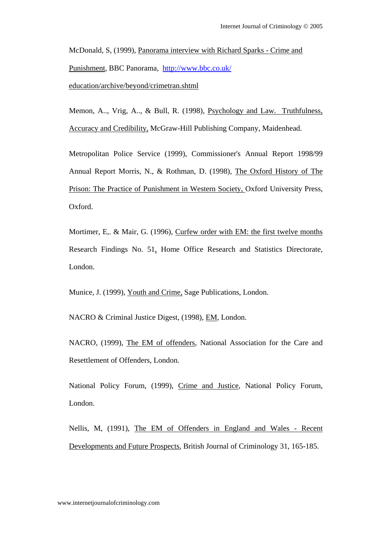McDonald, S, (1999), Panorama interview with Richard Sparks - Crime and Punishment, BBC Panorama, http://www.bbc.co.uk/ education/archive/beyond/crimetran.shtml

Memon, A.., Vrig, A.., & Bull, R. (1998), Psychology and Law. Truthfulness, Accuracy and Credibility, McGraw-Hill Publishing Company, Maidenhead.

Metropolitan Police Service (1999), Commissioner's Annual Report 1998/99 Annual Report Morris, N., & Rothman, D. (1998), The Oxford History of The Prison: The Practice of Punishment in Western Society, Oxford University Press, Oxford.

Mortimer, E,. & Mair, G. (1996), Curfew order with EM: the first twelve months Research Findings No. 51, Home Office Research and Statistics Directorate, London.

Munice, J. (1999), Youth and Crime, Sage Publications, London.

NACRO & Criminal Justice Digest, (1998), EM, London.

NACRO, (1999), The EM of offenders, National Association for the Care and Resettlement of Offenders, London.

National Policy Forum, (1999), Crime and Justice, National Policy Forum, London.

Nellis, M, (1991), The EM of Offenders in England and Wales - Recent Developments and Future Prospects, British Journal of Criminology 31, 165-185.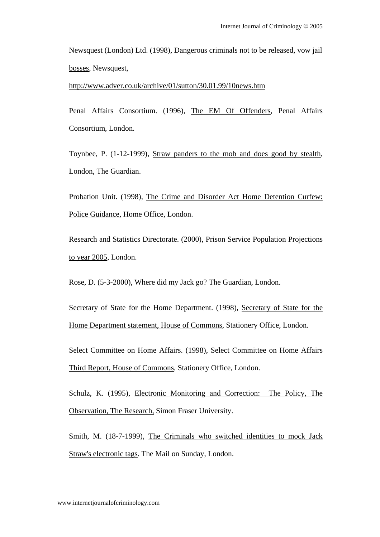Newsquest (London) Ltd. (1998), Dangerous criminals not to be released, vow jail bosses, Newsquest,

http://www.adver.co.uk/archive/01/sutton/30.01.99/10news.htm

Penal Affairs Consortium. (1996), The EM Of Offenders, Penal Affairs Consortium, London.

Toynbee, P. (1-12-1999), Straw panders to the mob and does good by stealth, London, The Guardian.

Probation Unit. (1998), The Crime and Disorder Act Home Detention Curfew: Police Guidance, Home Office, London.

Research and Statistics Directorate. (2000), Prison Service Population Projections to year 2005, London.

Rose, D. (5-3-2000), Where did my Jack go? The Guardian, London.

Secretary of State for the Home Department. (1998), Secretary of State for the Home Department statement, House of Commons, Stationery Office, London.

Select Committee on Home Affairs. (1998), Select Committee on Home Affairs Third Report, House of Commons, Stationery Office, London.

Schulz, K. (1995), Electronic Monitoring and Correction: The Policy, The Observation, The Research, Simon Fraser University.

Smith, M. (18-7-1999), The Criminals who switched identities to mock Jack Straw's electronic tags. The Mail on Sunday, London.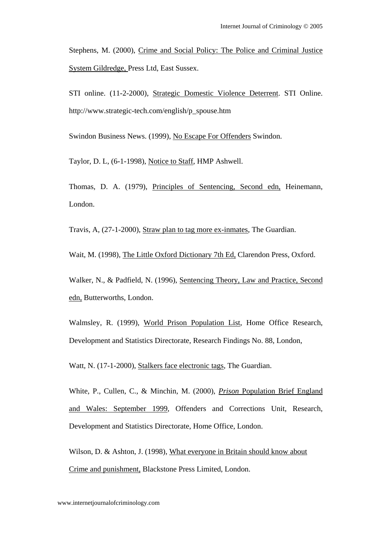Stephens, M. (2000), Crime and Social Policy: The Police and Criminal Justice System Gildredge, Press Ltd, East Sussex.

STI online. (11-2-2000), Strategic Domestic Violence Deterrent. STI Online. http://www.strategic-tech.com/english/p\_spouse.htm

Swindon Business News. (1999), No Escape For Offenders Swindon.

Taylor, D. L, (6-1-1998), Notice to Staff, HMP Ashwell.

Thomas, D. A. (1979), Principles of Sentencing, Second edn, Heinemann, London.

Travis, A, (27-1-2000), Straw plan to tag more ex-inmates, The Guardian.

Wait, M. (1998), The Little Oxford Dictionary 7th Ed, Clarendon Press, Oxford.

Walker, N., & Padfield, N. (1996), Sentencing Theory, Law and Practice, Second edn, Butterworths, London.

Walmsley, R. (1999), World Prison Population List, Home Office Research, Development and Statistics Directorate, Research Findings No. 88, London,

Watt, N. (17-1-2000), Stalkers face electronic tags, The Guardian.

White, P., Cullen, C., & Minchin, M. (2000), *Prison* Population Brief England and Wales: September 1999, Offenders and Corrections Unit, Research, Development and Statistics Directorate, Home Office, London.

Wilson, D. & Ashton, J. (1998), What everyone in Britain should know about Crime and punishment, Blackstone Press Limited, London.